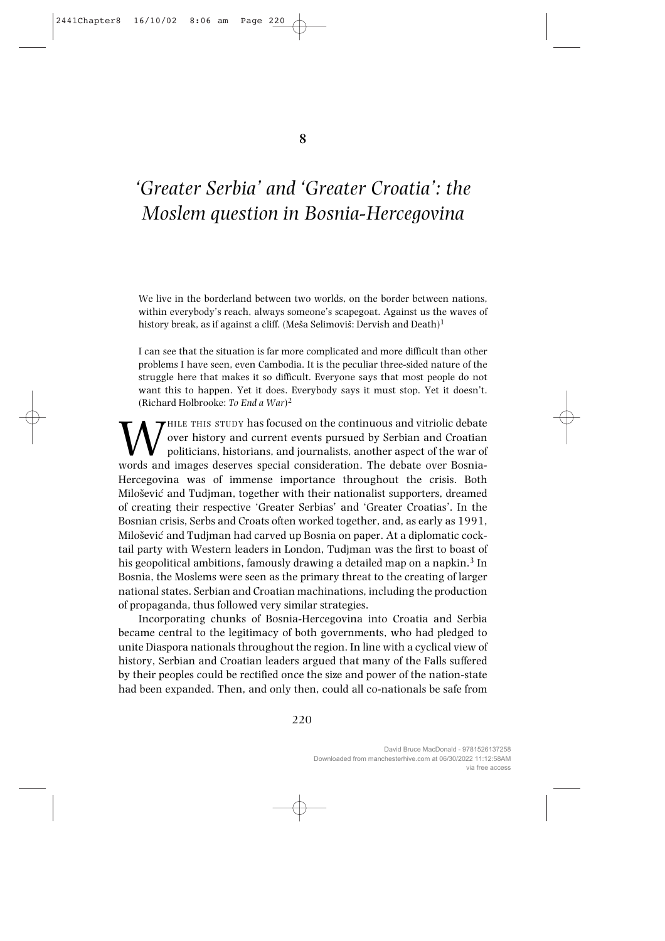# *'Greater Serbia' and 'Greater Croatia': the Moslem question in Bosnia-Hercegovina*

We live in the borderland between two worlds, on the border between nations. within everybody's reach, always someone's scapegoat. Against us the waves of history break, as if against a cliff. (Meša Selimoviš: Dervish and Death)<sup>1</sup>

I can see that the situation is far more complicated and more difficult than other problems I have seen, even Cambodia. It is the peculiar three-sided nature of the struggle here that makes it so difficult. Everyone says that most people do not want this to happen. Yet it does. Everybody says it must stop. Yet it doesn't. (Richard Holbrooke: *To End a War*)2

W THILE THIS STUDY has focused on the continuous and vitriolic debate<br>politicians, historians, and journalists, another aspect of the war of<br>words and images deserves special consideration. The debate over Besnic over history and current events pursued by Serbian and Croatian words and images deserves special consideration. The debate over Bosnia-Hercegovina was of immense importance throughout the crisis. Both Milošević and Tudjman, together with their nationalist supporters, dreamed of creating their respective 'Greater Serbias' and 'Greater Croatias'. In the Bosnian crisis, Serbs and Croats often worked together, and, as early as 1991, Milošević and Tudjman had carved up Bosnia on paper. At a diplomatic cocktail party with Western leaders in London, Tudjman was the first to boast of his geopolitical ambitions, famously drawing a detailed map on a napkin.<sup>3</sup> In Bosnia, the Moslems were seen as the primary threat to the creating of larger national states. Serbian and Croatian machinations, including the production of propaganda, thus followed very similar strategies.

Incorporating chunks of Bosnia-Hercegovina into Croatia and Serbia became central to the legitimacy of both governments, who had pledged to unite Diaspora nationals throughout the region. In line with a cyclical view of history, Serbian and Croatian leaders argued that many of the Falls suffered by their peoples could be rectified once the size and power of the nation-state had been expanded. Then, and only then, could all co-nationals be safe from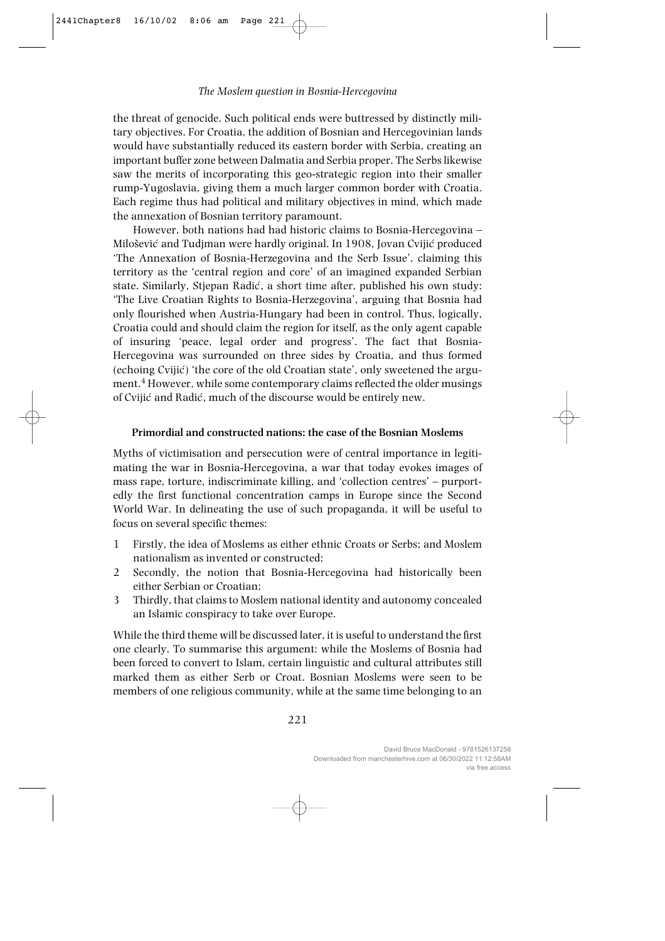the threat of genocide. Such political ends were buttressed by distinctly military objectives. For Croatia, the addition of Bosnian and Hercegovinian lands would have substantially reduced its eastern border with Serbia, creating an important buffer zone between Dalmatia and Serbia proper. The Serbs likewise saw the merits of incorporating this geo-strategic region into their smaller rump-Yugoslavia, giving them a much larger common border with Croatia. Each regime thus had political and military objectives in mind, which made the annexation of Bosnian territory paramount.

However, both nations had had historic claims to Bosnia-Hercegovina – Milošević and Tudjman were hardly original. In 1908, Jovan Cvijić produced 'The Annexation of Bosnia-Herzegovina and the Serb Issue', claiming this territory as the 'central region and core' of an imagined expanded Serbian state. Similarly, Stjepan Radic´, a short time after, published his own study: 'The Live Croatian Rights to Bosnia-Herzegovina', arguing that Bosnia had only flourished when Austria-Hungary had been in control. Thus, logically, Croatia could and should claim the region for itself, as the only agent capable of insuring 'peace, legal order and progress'. The fact that Bosnia-Hercegovina was surrounded on three sides by Croatia, and thus formed  $(echoing Cviji)$  'the core of the old Croatian state', only sweetened the argument.<sup>4</sup> However, while some contemporary claims reflected the older musings of Cvijic´ and Radic´, much of the discourse would be entirely new.

# **Primordial and constructed nations: the case of the Bosnian Moslems**

Myths of victimisation and persecution were of central importance in legitimating the war in Bosnia-Hercegovina, a war that today evokes images of mass rape, torture, indiscriminate killing, and 'collection centres' – purportedly the first functional concentration camps in Europe since the Second World War. In delineating the use of such propaganda, it will be useful to focus on several specific themes:

- 1 Firstly, the idea of Moslems as either ethnic Croats or Serbs; and Moslem nationalism as invented or constructed;
- 2 Secondly, the notion that Bosnia-Hercegovina had historically been either Serbian or Croatian;
- 3 Thirdly, that claims to Moslem national identity and autonomy concealed an Islamic conspiracy to take over Europe.

While the third theme will be discussed later, it is useful to understand the first one clearly. To summarise this argument: while the Moslems of Bosnia had been forced to convert to Islam, certain linguistic and cultural attributes still marked them as either Serb or Croat. Bosnian Moslems were seen to be members of one religious community, while at the same time belonging to an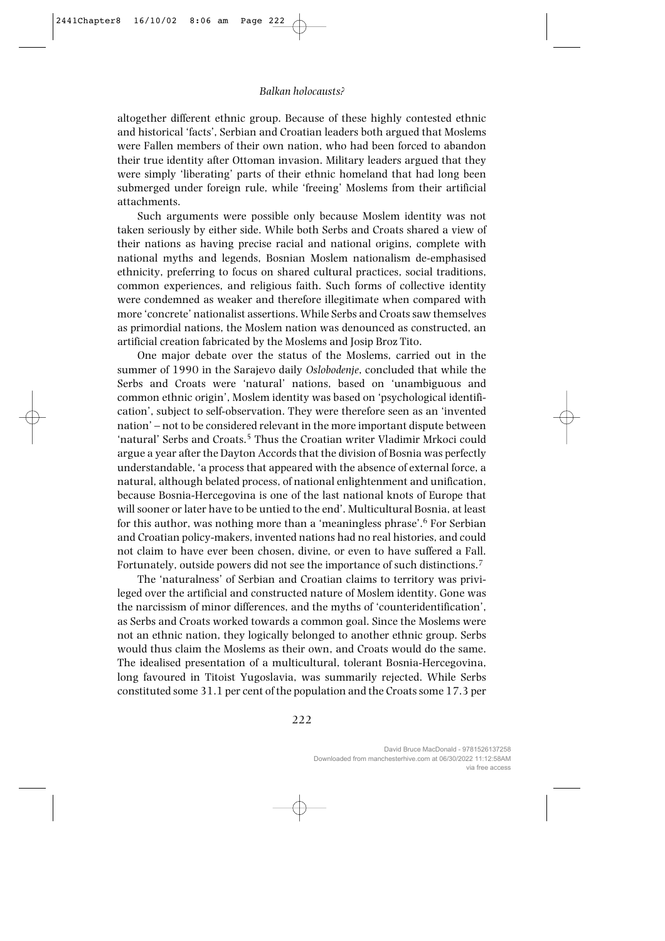altogether different ethnic group. Because of these highly contested ethnic and historical 'facts', Serbian and Croatian leaders both argued that Moslems were Fallen members of their own nation, who had been forced to abandon their true identity after Ottoman invasion. Military leaders argued that they were simply 'liberating' parts of their ethnic homeland that had long been submerged under foreign rule, while 'freeing' Moslems from their artificial attachments.

Such arguments were possible only because Moslem identity was not taken seriously by either side. While both Serbs and Croats shared a view of their nations as having precise racial and national origins, complete with national myths and legends, Bosnian Moslem nationalism de-emphasised ethnicity, preferring to focus on shared cultural practices, social traditions, common experiences, and religious faith. Such forms of collective identity were condemned as weaker and therefore illegitimate when compared with more 'concrete' nationalist assertions. While Serbs and Croats saw themselves as primordial nations, the Moslem nation was denounced as constructed, an artificial creation fabricated by the Moslems and Josip Broz Tito.

One major debate over the status of the Moslems, carried out in the summer of 1990 in the Sarajevo daily *Oslobodenje*, concluded that while the Serbs and Croats were 'natural' nations, based on 'unambiguous and common ethnic origin', Moslem identity was based on 'psychological identification', subject to self-observation. They were therefore seen as an 'invented nation' – not to be considered relevant in the more important dispute between 'natural' Serbs and Croats.<sup>5</sup> Thus the Croatian writer Vladimir Mrkoci could argue a year after the Dayton Accords that the division of Bosnia was perfectly understandable, 'a process that appeared with the absence of external force, a natural, although belated process, of national enlightenment and unification, because Bosnia-Hercegovina is one of the last national knots of Europe that will sooner or later have to be untied to the end'. Multicultural Bosnia, at least for this author, was nothing more than a 'meaningless phrase'.<sup>6</sup> For Serbian and Croatian policy-makers, invented nations had no real histories, and could not claim to have ever been chosen, divine, or even to have suffered a Fall. Fortunately, outside powers did not see the importance of such distinctions.<sup>7</sup>

The 'naturalness' of Serbian and Croatian claims to territory was privileged over the artificial and constructed nature of Moslem identity. Gone was the narcissism of minor differences, and the myths of 'counteridentification', as Serbs and Croats worked towards a common goal. Since the Moslems were not an ethnic nation, they logically belonged to another ethnic group. Serbs would thus claim the Moslems as their own, and Croats would do the same. The idealised presentation of a multicultural, tolerant Bosnia-Hercegovina, long favoured in Titoist Yugoslavia, was summarily rejected. While Serbs constituted some 31.1 per cent of the population and the Croats some 17.3 per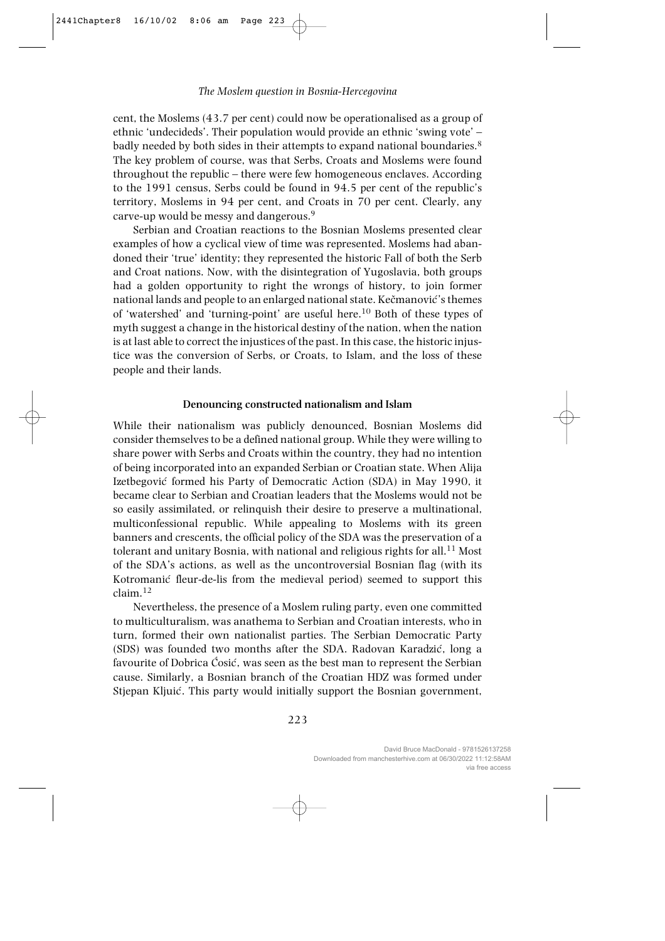cent, the Moslems (43.7 per cent) could now be operationalised as a group of ethnic 'undecideds'. Their population would provide an ethnic 'swing vote' – badly needed by both sides in their attempts to expand national boundaries.<sup>8</sup> The key problem of course, was that Serbs, Croats and Moslems were found throughout the republic – there were few homogeneous enclaves. According to the 1991 census, Serbs could be found in 94.5 per cent of the republic's territory, Moslems in 94 per cent, and Croats in 70 per cent. Clearly, any carve-up would be messy and dangerous.<sup>9</sup>

Serbian and Croatian reactions to the Bosnian Moslems presented clear examples of how a cyclical view of time was represented. Moslems had abandoned their 'true' identity; they represented the historic Fall of both the Serb and Croat nations. Now, with the disintegration of Yugoslavia, both groups had a golden opportunity to right the wrongs of history, to join former national lands and people to an enlarged national state. Kečmanović's themes of 'watershed' and 'turning-point' are useful here.10 Both of these types of myth suggest a change in the historical destiny of the nation, when the nation is at last able to correct the injustices of the past. In this case, the historic injustice was the conversion of Serbs, or Croats, to Islam, and the loss of these people and their lands.

### **Denouncing constructed nationalism and Islam**

While their nationalism was publicly denounced, Bosnian Moslems did consider themselves to be a defined national group. While they were willing to share power with Serbs and Croats within the country, they had no intention of being incorporated into an expanded Serbian or Croatian state. When Alija Izetbegovic´ formed his Party of Democratic Action (SDA) in May 1990, it became clear to Serbian and Croatian leaders that the Moslems would not be so easily assimilated, or relinquish their desire to preserve a multinational, multiconfessional republic. While appealing to Moslems with its green banners and crescents, the official policy of the SDA was the preservation of a tolerant and unitary Bosnia, with national and religious rights for all.<sup>11</sup> Most of the SDA's actions, as well as the uncontroversial Bosnian flag (with its Kotromanic´ fleur-de-lis from the medieval period) seemed to support this claim.12

Nevertheless, the presence of a Moslem ruling party, even one committed to multiculturalism, was anathema to Serbian and Croatian interests, who in turn, formed their own nationalist parties. The Serbian Democratic Party (SDS) was founded two months after the SDA. Radovan Karadzić, long a favourite of Dobrica Cosic<sup>\*</sup>, was seen as the best man to represent the Serbian cause. Similarly, a Bosnian branch of the Croatian HDZ was formed under Stjepan Kljuić. This party would initially support the Bosnian government,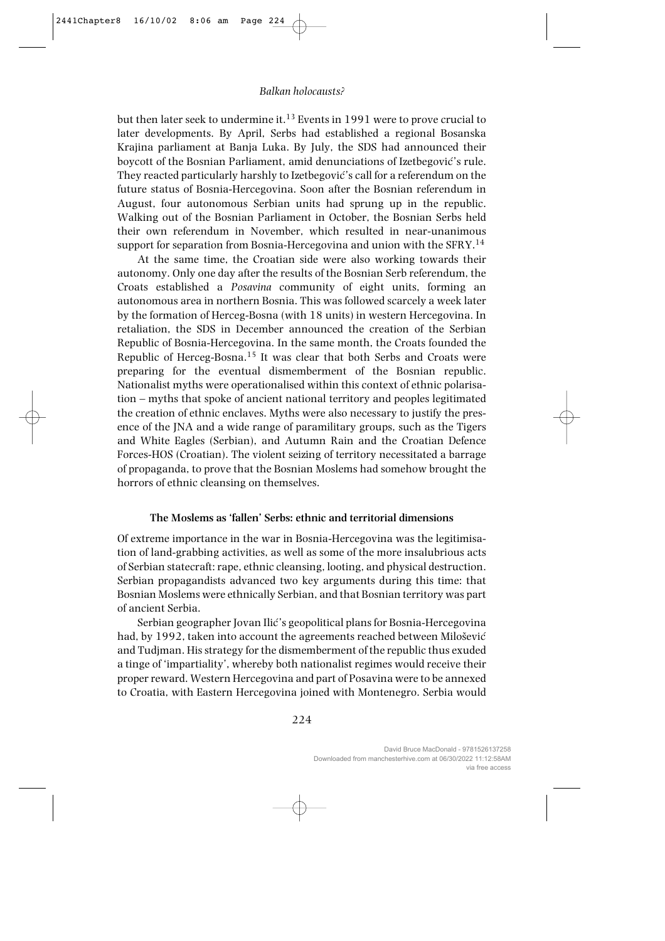but then later seek to undermine it.<sup>13</sup> Events in 1991 were to prove crucial to later developments. By April, Serbs had established a regional Bosanska Krajina parliament at Banja Luka. By July, the SDS had announced their boycott of the Bosnian Parliament, amid denunciations of Izetbegovic´'s rule. They reacted particularly harshly to Izetbegovic´'s call for a referendum on the future status of Bosnia-Hercegovina. Soon after the Bosnian referendum in August, four autonomous Serbian units had sprung up in the republic. Walking out of the Bosnian Parliament in October, the Bosnian Serbs held their own referendum in November, which resulted in near-unanimous support for separation from Bosnia-Hercegovina and union with the  $SFRY$ <sup>14</sup>

At the same time, the Croatian side were also working towards their autonomy. Only one day after the results of the Bosnian Serb referendum, the Croats established a *Posavina* community of eight units, forming an autonomous area in northern Bosnia. This was followed scarcely a week later by the formation of Herceg-Bosna (with 18 units) in western Hercegovina. In retaliation, the SDS in December announced the creation of the Serbian Republic of Bosnia-Hercegovina. In the same month, the Croats founded the Republic of Herceg-Bosna.15 It was clear that both Serbs and Croats were preparing for the eventual dismemberment of the Bosnian republic. Nationalist myths were operationalised within this context of ethnic polarisation – myths that spoke of ancient national territory and peoples legitimated the creation of ethnic enclaves. Myths were also necessary to justify the presence of the JNA and a wide range of paramilitary groups, such as the Tigers and White Eagles (Serbian), and Autumn Rain and the Croatian Defence Forces-HOS (Croatian). The violent seizing of territory necessitated a barrage of propaganda, to prove that the Bosnian Moslems had somehow brought the horrors of ethnic cleansing on themselves.

# **The Moslems as 'fallen' Serbs: ethnic and territorial dimensions**

Of extreme importance in the war in Bosnia-Hercegovina was the legitimisation of land-grabbing activities, as well as some of the more insalubrious acts of Serbian statecraft: rape, ethnic cleansing, looting, and physical destruction. Serbian propagandists advanced two key arguments during this time: that Bosnian Moslems were ethnically Serbian, and that Bosnian territory was part of ancient Serbia.

Serbian geographer Jovan Ilic´'s geopolitical plans for Bosnia-Hercegovina had, by 1992, taken into account the agreements reached between Milošević and Tudjman. His strategy for the dismemberment of the republic thus exuded a tinge of 'impartiality', whereby both nationalist regimes would receive their proper reward. Western Hercegovina and part of Posavina were to be annexed to Croatia, with Eastern Hercegovina joined with Montenegro. Serbia would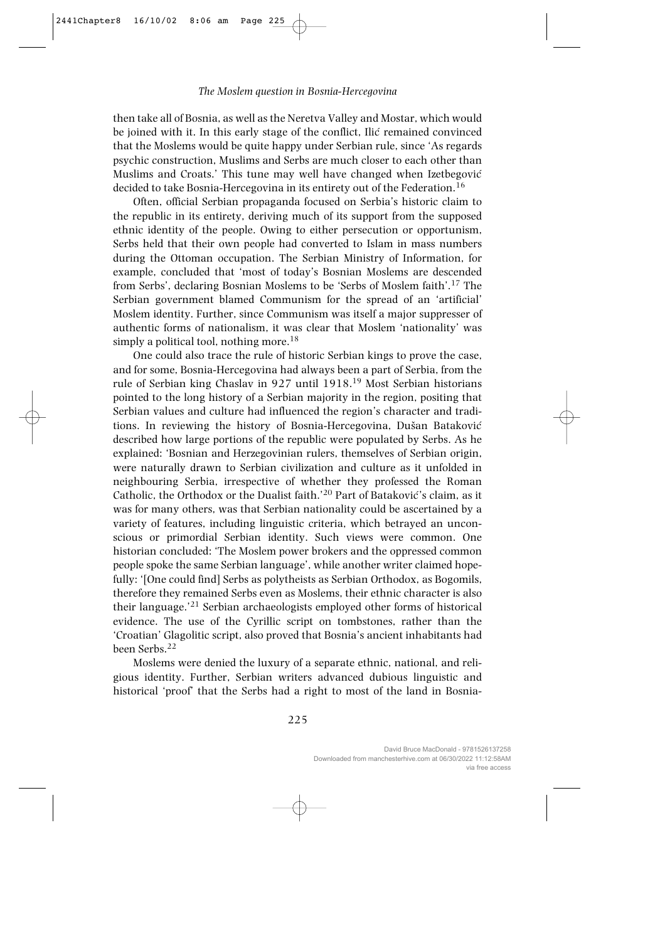then take all of Bosnia, as well as the Neretva Valley and Mostar, which would be joined with it. In this early stage of the conflict, Ilic´ remained convinced that the Moslems would be quite happy under Serbian rule, since 'As regards psychic construction, Muslims and Serbs are much closer to each other than Muslims and Croats.' This tune may well have changed when Izetbegovic´ decided to take Bosnia-Hercegovina in its entirety out of the Federation.<sup>16</sup>

Often, official Serbian propaganda focused on Serbia's historic claim to the republic in its entirety, deriving much of its support from the supposed ethnic identity of the people. Owing to either persecution or opportunism, Serbs held that their own people had converted to Islam in mass numbers during the Ottoman occupation. The Serbian Ministry of Information, for example, concluded that 'most of today's Bosnian Moslems are descended from Serbs', declaring Bosnian Moslems to be 'Serbs of Moslem faith'.17 The Serbian government blamed Communism for the spread of an 'artificial' Moslem identity. Further, since Communism was itself a major suppresser of authentic forms of nationalism, it was clear that Moslem 'nationality' was simply a political tool, nothing more.<sup>18</sup>

One could also trace the rule of historic Serbian kings to prove the case, and for some, Bosnia-Hercegovina had always been a part of Serbia, from the rule of Serbian king Chaslav in 927 until 1918.19 Most Serbian historians pointed to the long history of a Serbian majority in the region, positing that Serbian values and culture had influenced the region's character and traditions. In reviewing the history of Bosnia-Hercegovina, Dušan Bataković described how large portions of the republic were populated by Serbs. As he explained: 'Bosnian and Herzegovinian rulers, themselves of Serbian origin, were naturally drawn to Serbian civilization and culture as it unfolded in neighbouring Serbia, irrespective of whether they professed the Roman Catholic, the Orthodox or the Dualist faith.'20 Part of Batakovic´'s claim, as it was for many others, was that Serbian nationality could be ascertained by a variety of features, including linguistic criteria, which betrayed an unconscious or primordial Serbian identity. Such views were common. One historian concluded: 'The Moslem power brokers and the oppressed common people spoke the same Serbian language', while another writer claimed hopefully: '[One could find] Serbs as polytheists as Serbian Orthodox, as Bogomils, therefore they remained Serbs even as Moslems, their ethnic character is also their language.'21 Serbian archaeologists employed other forms of historical evidence. The use of the Cyrillic script on tombstones, rather than the 'Croatian' Glagolitic script, also proved that Bosnia's ancient inhabitants had been Serbs.22

Moslems were denied the luxury of a separate ethnic, national, and religious identity. Further, Serbian writers advanced dubious linguistic and historical 'proof' that the Serbs had a right to most of the land in Bosnia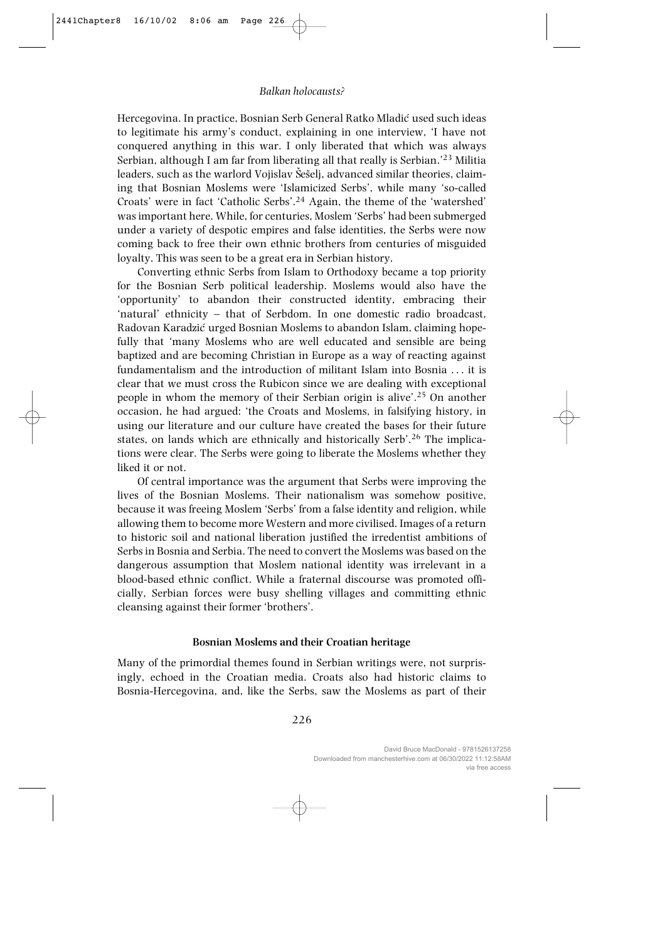Hercegovina. In practice, Bosnian Serb General Ratko Mladic´ used such ideas to legitimate his army's conduct, explaining in one interview, 'I have not conquered anything in this war. I only liberated that which was always Serbian, although I am far from liberating all that really is Serbian.'23 Militia leaders, such as the warlord Vojislav Šešelj, advanced similar theories, claiming that Bosnian Moslems were 'Islamicized Serbs', while many 'so-called Croats' were in fact 'Catholic Serbs'.24 Again, the theme of the 'watershed' was important here. While, for centuries, Moslem 'Serbs' had been submerged under a variety of despotic empires and false identities, the Serbs were now coming back to free their own ethnic brothers from centuries of misguided loyalty. This was seen to be a great era in Serbian history.

Converting ethnic Serbs from Islam to Orthodoxy became a top priority for the Bosnian Serb political leadership. Moslems would also have the 'opportunity' to abandon their constructed identity, embracing their 'natural' ethnicity – that of Serbdom. In one domestic radio broadcast, Radovan Karadzić urged Bosnian Moslems to abandon Islam, claiming hopefully that 'many Moslems who are well educated and sensible are being baptized and are becoming Christian in Europe as a way of reacting against fundamentalism and the introduction of militant Islam into Bosnia . . . it is clear that we must cross the Rubicon since we are dealing with exceptional people in whom the memory of their Serbian origin is alive'.25 On another occasion, he had argued: 'the Croats and Moslems, in falsifying history, in using our literature and our culture have created the bases for their future states, on lands which are ethnically and historically Serb'.<sup>26</sup> The implications were clear. The Serbs were going to liberate the Moslems whether they liked it or not.

Of central importance was the argument that Serbs were improving the lives of the Bosnian Moslems. Their nationalism was somehow positive, because it was freeing Moslem 'Serbs' from a false identity and religion, while allowing them to become more Western and more civilised. Images of a return to historic soil and national liberation justified the irredentist ambitions of Serbs in Bosnia and Serbia. The need to convert the Moslems was based on the dangerous assumption that Moslem national identity was irrelevant in a blood-based ethnic conflict. While a fraternal discourse was promoted officially, Serbian forces were busy shelling villages and committing ethnic cleansing against their former 'brothers'.

## **Bosnian Moslems and their Croatian heritage**

Many of the primordial themes found in Serbian writings were, not surprisingly, echoed in the Croatian media. Croats also had historic claims to Bosnia-Hercegovina, and, like the Serbs, saw the Moslems as part of their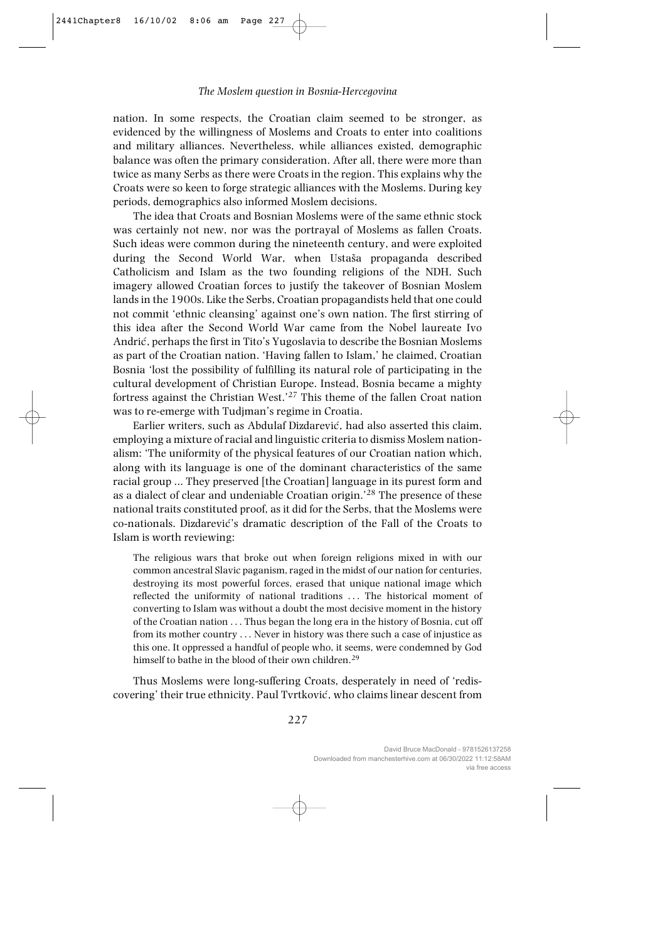nation. In some respects, the Croatian claim seemed to be stronger, as evidenced by the willingness of Moslems and Croats to enter into coalitions and military alliances. Nevertheless, while alliances existed, demographic balance was often the primary consideration. After all, there were more than twice as many Serbs as there were Croats in the region. This explains why the Croats were so keen to forge strategic alliances with the Moslems. During key periods, demographics also informed Moslem decisions.

The idea that Croats and Bosnian Moslems were of the same ethnic stock was certainly not new, nor was the portrayal of Moslems as fallen Croats. Such ideas were common during the nineteenth century, and were exploited during the Second World War, when Ustaša propaganda described Catholicism and Islam as the two founding religions of the NDH. Such imagery allowed Croatian forces to justify the takeover of Bosnian Moslem lands in the 1900s. Like the Serbs, Croatian propagandists held that one could not commit 'ethnic cleansing' against one's own nation. The first stirring of this idea after the Second World War came from the Nobel laureate Ivo Andric´, perhaps the first in Tito's Yugoslavia to describe the Bosnian Moslems as part of the Croatian nation. 'Having fallen to Islam,' he claimed, Croatian Bosnia 'lost the possibility of fulfilling its natural role of participating in the cultural development of Christian Europe. Instead, Bosnia became a mighty fortress against the Christian West.'27 This theme of the fallen Croat nation was to re-emerge with Tudjman's regime in Croatia.

Earlier writers, such as Abdulaf Dizdarević, had also asserted this claim, employing a mixture of racial and linguistic criteria to dismiss Moslem nationalism: 'The uniformity of the physical features of our Croatian nation which, along with its language is one of the dominant characteristics of the same racial group ... They preserved [the Croatian] language in its purest form and as a dialect of clear and undeniable Croatian origin.'28 The presence of these national traits constituted proof, as it did for the Serbs, that the Moslems were co-nationals. Dizdarevic´'s dramatic description of the Fall of the Croats to Islam is worth reviewing:

The religious wars that broke out when foreign religions mixed in with our common ancestral Slavic paganism, raged in the midst of our nation for centuries, destroying its most powerful forces, erased that unique national image which reflected the uniformity of national traditions ... The historical moment of converting to Islam was without a doubt the most decisive moment in the history of the Croatian nation . . . Thus began the long era in the history of Bosnia, cut off from its mother country . . . Never in history was there such a case of injustice as this one. It oppressed a handful of people who, it seems, were condemned by God himself to bathe in the blood of their own children.<sup>29</sup>

Thus Moslems were long-suffering Croats, desperately in need of 'rediscovering' their true ethnicity. Paul Tvrtkovic´, who claims linear descent from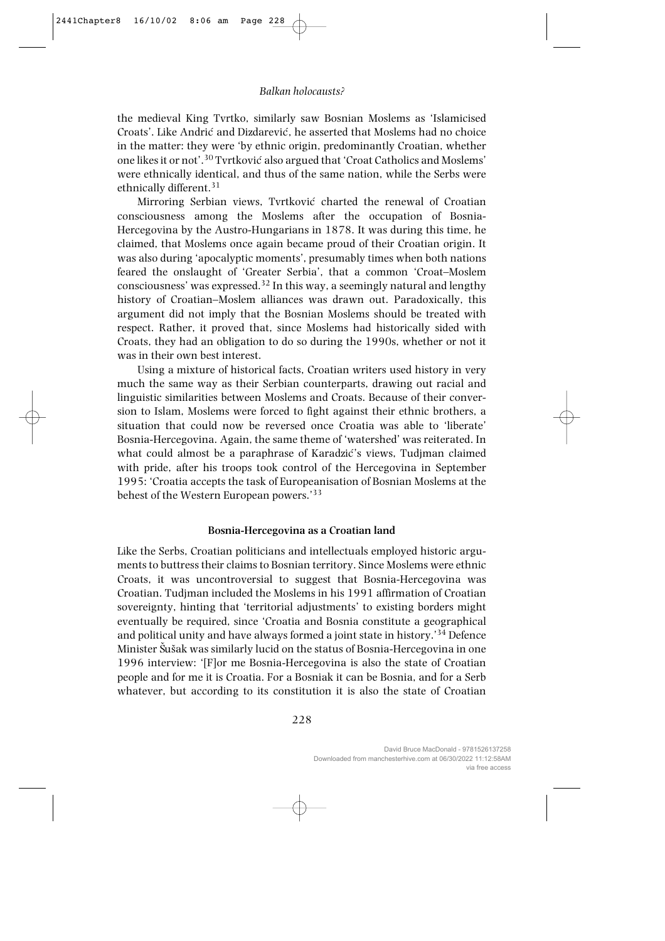the medieval King Tvrtko, similarly saw Bosnian Moslems as 'Islamicised Croats'. Like Andric´ and Dizdarevic´, he asserted that Moslems had no choice in the matter: they were 'by ethnic origin, predominantly Croatian, whether one likes it or not'.30 Tvrtkovic´ also argued that 'Croat Catholics and Moslems' were ethnically identical, and thus of the same nation, while the Serbs were ethnically different.<sup>31</sup>

Mirroring Serbian views, Tvrtkovic´ charted the renewal of Croatian consciousness among the Moslems after the occupation of Bosnia-Hercegovina by the Austro-Hungarians in 1878. It was during this time, he claimed, that Moslems once again became proud of their Croatian origin. It was also during 'apocalyptic moments', presumably times when both nations feared the onslaught of 'Greater Serbia', that a common 'Croat–Moslem consciousness' was expressed.<sup>32</sup> In this way, a seemingly natural and lengthy history of Croatian–Moslem alliances was drawn out. Paradoxically, this argument did not imply that the Bosnian Moslems should be treated with respect. Rather, it proved that, since Moslems had historically sided with Croats, they had an obligation to do so during the 1990s, whether or not it was in their own best interest.

Using a mixture of historical facts, Croatian writers used history in very much the same way as their Serbian counterparts, drawing out racial and linguistic similarities between Moslems and Croats. Because of their conversion to Islam, Moslems were forced to fight against their ethnic brothers, a situation that could now be reversed once Croatia was able to 'liberate' Bosnia-Hercegovina. Again, the same theme of 'watershed' was reiterated. In what could almost be a paraphrase of Karadzic's views, Tudjman claimed with pride, after his troops took control of the Hercegovina in September 1995: 'Croatia accepts the task of Europeanisation of Bosnian Moslems at the behest of the Western European powers.'33

#### **Bosnia-Hercegovina as a Croatian land**

Like the Serbs, Croatian politicians and intellectuals employed historic arguments to buttress their claims to Bosnian territory. Since Moslems were ethnic Croats, it was uncontroversial to suggest that Bosnia-Hercegovina was Croatian. Tudjman included the Moslems in his 1991 affirmation of Croatian sovereignty, hinting that 'territorial adjustments' to existing borders might eventually be required, since 'Croatia and Bosnia constitute a geographical and political unity and have always formed a joint state in history.'34 Defence Minister Šušak was similarly lucid on the status of Bosnia-Hercegovina in one 1996 interview: '[F]or me Bosnia-Hercegovina is also the state of Croatian people and for me it is Croatia. For a Bosniak it can be Bosnia, and for a Serb whatever, but according to its constitution it is also the state of Croatian

228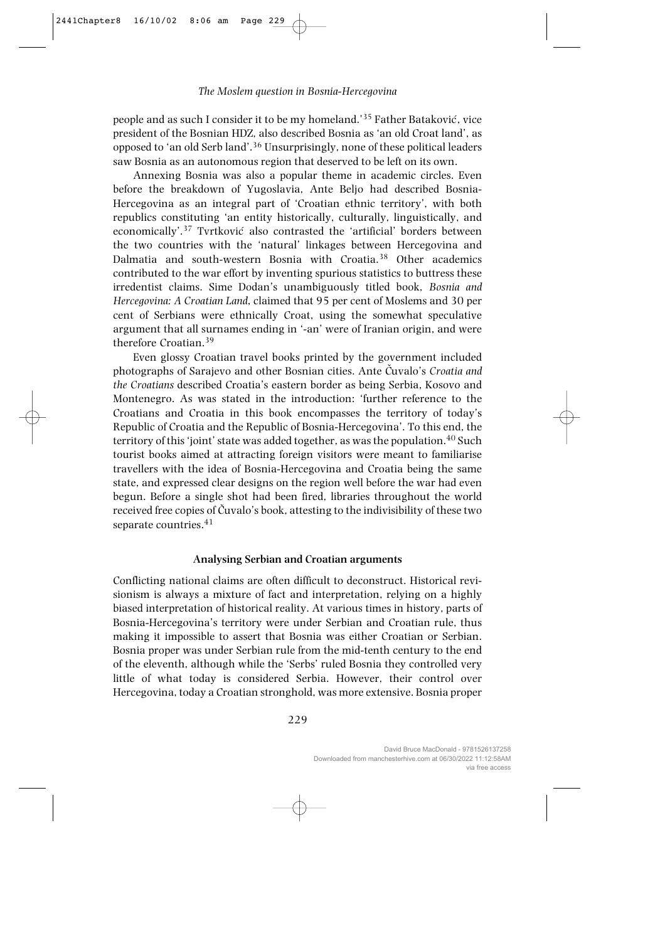people and as such I consider it to be my homeland.<sup>35</sup> Father Bataković, vice president of the Bosnian HDZ, also described Bosnia as 'an old Croat land', as opposed to 'an old Serb land'.36 Unsurprisingly, none of these political leaders saw Bosnia as an autonomous region that deserved to be left on its own.

Annexing Bosnia was also a popular theme in academic circles. Even before the breakdown of Yugoslavia, Ante Beljo had described Bosnia-Hercegovina as an integral part of 'Croatian ethnic territory', with both republics constituting 'an entity historically, culturally, linguistically, and economically'.37 Tvrtkovic´ also contrasted the 'artificial' borders between the two countries with the 'natural' linkages between Hercegovina and Dalmatia and south-western Bosnia with Croatia.<sup>38</sup> Other academics contributed to the war effort by inventing spurious statistics to buttress these irredentist claims. Sime Dodan's unambiguously titled book, *Bosnia and Hercegovina: A Croatian Land*, claimed that 95 per cent of Moslems and 30 per cent of Serbians were ethnically Croat, using the somewhat speculative argument that all surnames ending in '-an' were of Iranian origin, and were therefore Croatian.39

Even glossy Croatian travel books printed by the government included photographs of Sarajevo and other Bosnian cities. Ante Čuvalo's Croatia and *the Croatians* described Croatia's eastern border as being Serbia, Kosovo and Montenegro. As was stated in the introduction: 'further reference to the Croatians and Croatia in this book encompasses the territory of today's Republic of Croatia and the Republic of Bosnia-Hercegovina'. To this end, the territory of this 'joint' state was added together, as was the population. $40$  Such tourist books aimed at attracting foreign visitors were meant to familiarise travellers with the idea of Bosnia-Hercegovina and Croatia being the same state, and expressed clear designs on the region well before the war had even begun. Before a single shot had been fired, libraries throughout the world received free copies of Čuvalo's book, attesting to the indivisibility of these two separate countries.<sup>41</sup>

### **Analysing Serbian and Croatian arguments**

Conflicting national claims are often difficult to deconstruct. Historical revisionism is always a mixture of fact and interpretation, relying on a highly biased interpretation of historical reality. At various times in history, parts of Bosnia-Hercegovina's territory were under Serbian and Croatian rule, thus making it impossible to assert that Bosnia was either Croatian or Serbian. Bosnia proper was under Serbian rule from the mid-tenth century to the end of the eleventh, although while the 'Serbs' ruled Bosnia they controlled very little of what today is considered Serbia. However, their control over Hercegovina, today a Croatian stronghold, was more extensive. Bosnia proper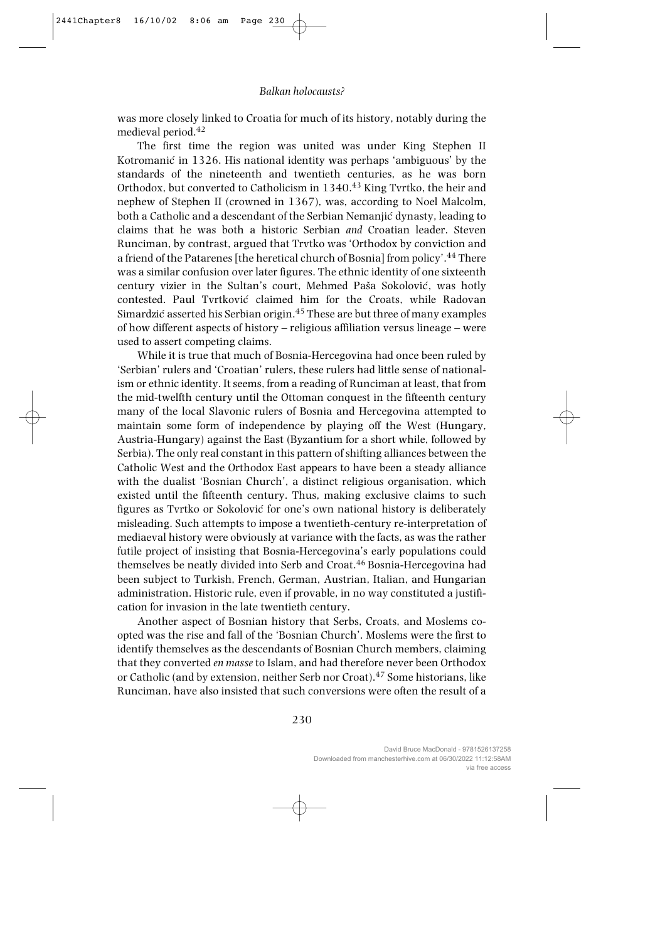was more closely linked to Croatia for much of its history, notably during the medieval period.42

The first time the region was united was under King Stephen II Kotromanic<sup>'</sup> in 1326. His national identity was perhaps 'ambiguous' by the standards of the nineteenth and twentieth centuries, as he was born Orthodox, but converted to Catholicism in  $1340<sup>43</sup>$  King Tyrtko, the heir and nephew of Stephen II (crowned in 1367), was, according to Noel Malcolm, both a Catholic and a descendant of the Serbian Nemanjic´ dynasty, leading to claims that he was both a historic Serbian *and* Croatian leader. Steven Runciman, by contrast, argued that Trvtko was 'Orthodox by conviction and a friend of the Patarenes [the heretical church of Bosnia] from policy'.44 There was a similar confusion over later figures. The ethnic identity of one sixteenth century vizier in the Sultan's court, Mehmed Paša Sokolović, was hotly contested. Paul Tvrtkovic´ claimed him for the Croats, while Radovan Simardzić asserted his Serbian origin. $45$  These are but three of many examples of how different aspects of history – religious affiliation versus lineage – were used to assert competing claims.

While it is true that much of Bosnia-Hercegovina had once been ruled by 'Serbian' rulers and 'Croatian' rulers, these rulers had little sense of nationalism or ethnic identity. It seems, from a reading of Runciman at least, that from the mid-twelfth century until the Ottoman conquest in the fifteenth century many of the local Slavonic rulers of Bosnia and Hercegovina attempted to maintain some form of independence by playing off the West (Hungary, Austria-Hungary) against the East (Byzantium for a short while, followed by Serbia). The only real constant in this pattern of shifting alliances between the Catholic West and the Orthodox East appears to have been a steady alliance with the dualist 'Bosnian Church', a distinct religious organisation, which existed until the fifteenth century. Thus, making exclusive claims to such figures as Tvrtko or Sokolovic´ for one's own national history is deliberately misleading. Such attempts to impose a twentieth-century re-interpretation of mediaeval history were obviously at variance with the facts, as was the rather futile project of insisting that Bosnia-Hercegovina's early populations could themselves be neatly divided into Serb and Croat.<sup>46</sup> Bosnia-Hercegovina had been subject to Turkish, French, German, Austrian, Italian, and Hungarian administration. Historic rule, even if provable, in no way constituted a justification for invasion in the late twentieth century.

Another aspect of Bosnian history that Serbs, Croats, and Moslems coopted was the rise and fall of the 'Bosnian Church'. Moslems were the first to identify themselves as the descendants of Bosnian Church members, claiming that they converted *en masse* to Islam, and had therefore never been Orthodox or Catholic (and by extension, neither Serb nor Croat).<sup>47</sup> Some historians, like Runciman, have also insisted that such conversions were often the result of a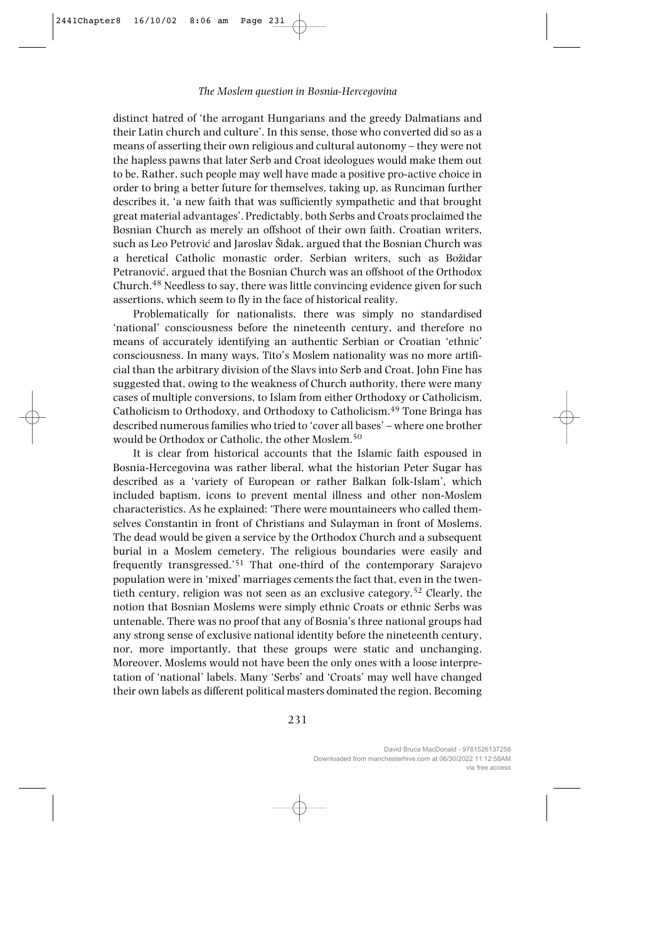distinct hatred of 'the arrogant Hungarians and the greedy Dalmatians and their Latin church and culture'. In this sense, those who converted did so as a means of asserting their own religious and cultural autonomy – they were not the hapless pawns that later Serb and Croat ideologues would make them out to be. Rather, such people may well have made a positive pro-active choice in order to bring a better future for themselves, taking up, as Runciman further describes it, 'a new faith that was sufficiently sympathetic and that brought great material advantages'. Predictably, both Serbs and Croats proclaimed the Bosnian Church as merely an offshoot of their own faith. Croatian writers, such as Leo Petrović and Jaroslav Šidak, argued that the Bosnian Church was a heretical Catholic monastic order. Serbian writers, such as Božidar Petranović, argued that the Bosnian Church was an offshoot of the Orthodox Church.48 Needless to say, there was little convincing evidence given for such assertions, which seem to fly in the face of historical reality.

Problematically for nationalists, there was simply no standardised 'national' consciousness before the nineteenth century, and therefore no means of accurately identifying an authentic Serbian or Croatian 'ethnic' consciousness. In many ways, Tito's Moslem nationality was no more artificial than the arbitrary division of the Slavs into Serb and Croat. John Fine has suggested that, owing to the weakness of Church authority, there were many cases of multiple conversions, to Islam from either Orthodoxy or Catholicism, Catholicism to Orthodoxy, and Orthodoxy to Catholicism.<sup>49</sup> Tone Bringa has described numerous families who tried to 'cover all bases' – where one brother would be Orthodox or Catholic, the other Moslem.50

It is clear from historical accounts that the Islamic faith espoused in Bosnia-Hercegovina was rather liberal, what the historian Peter Sugar has described as a 'variety of European or rather Balkan folk-Islam', which included baptism, icons to prevent mental illness and other non-Moslem characteristics. As he explained: 'There were mountaineers who called themselves Constantin in front of Christians and Sulayman in front of Moslems. The dead would be given a service by the Orthodox Church and a subsequent burial in a Moslem cemetery. The religious boundaries were easily and frequently transgressed.'51 That one-third of the contemporary Sarajevo population were in 'mixed' marriages cements the fact that, even in the twentieth century, religion was not seen as an exclusive category.52 Clearly, the notion that Bosnian Moslems were simply ethnic Croats or ethnic Serbs was untenable. There was no proof that any of Bosnia's three national groups had any strong sense of exclusive national identity before the nineteenth century, nor, more importantly, that these groups were static and unchanging. Moreover, Moslems would not have been the only ones with a loose interpretation of 'national' labels. Many 'Serbs' and 'Croats' may well have changed their own labels as different political masters dominated the region. Becoming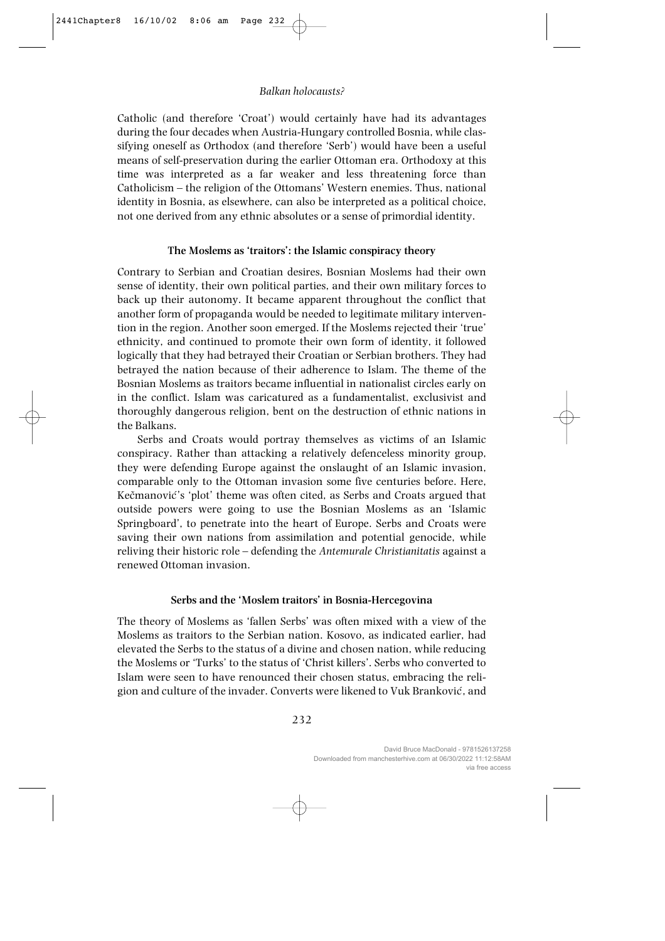Catholic (and therefore 'Croat') would certainly have had its advantages during the four decades when Austria-Hungary controlled Bosnia, while classifying oneself as Orthodox (and therefore 'Serb') would have been a useful means of self-preservation during the earlier Ottoman era. Orthodoxy at this time was interpreted as a far weaker and less threatening force than Catholicism – the religion of the Ottomans' Western enemies. Thus, national identity in Bosnia, as elsewhere, can also be interpreted as a political choice, not one derived from any ethnic absolutes or a sense of primordial identity.

#### **The Moslems as 'traitors': the Islamic conspiracy theory**

Contrary to Serbian and Croatian desires, Bosnian Moslems had their own sense of identity, their own political parties, and their own military forces to back up their autonomy. It became apparent throughout the conflict that another form of propaganda would be needed to legitimate military intervention in the region. Another soon emerged. If the Moslems rejected their 'true' ethnicity, and continued to promote their own form of identity, it followed logically that they had betrayed their Croatian or Serbian brothers. They had betrayed the nation because of their adherence to Islam. The theme of the Bosnian Moslems as traitors became influential in nationalist circles early on in the conflict. Islam was caricatured as a fundamentalist, exclusivist and thoroughly dangerous religion, bent on the destruction of ethnic nations in the Balkans.

Serbs and Croats would portray themselves as victims of an Islamic conspiracy. Rather than attacking a relatively defenceless minority group, they were defending Europe against the onslaught of an Islamic invasion, comparable only to the Ottoman invasion some five centuries before. Here, Kečmanović's 'plot' theme was often cited, as Serbs and Croats argued that outside powers were going to use the Bosnian Moslems as an 'Islamic Springboard', to penetrate into the heart of Europe. Serbs and Croats were saving their own nations from assimilation and potential genocide, while reliving their historic role – defending the *Antemurale Christianitatis* against a renewed Ottoman invasion.

#### **Serbs and the 'Moslem traitors' in Bosnia-Hercegovina**

The theory of Moslems as 'fallen Serbs' was often mixed with a view of the Moslems as traitors to the Serbian nation. Kosovo, as indicated earlier, had elevated the Serbs to the status of a divine and chosen nation, while reducing the Moslems or 'Turks' to the status of 'Christ killers'. Serbs who converted to Islam were seen to have renounced their chosen status, embracing the religion and culture of the invader. Converts were likened to Vuk Branković, and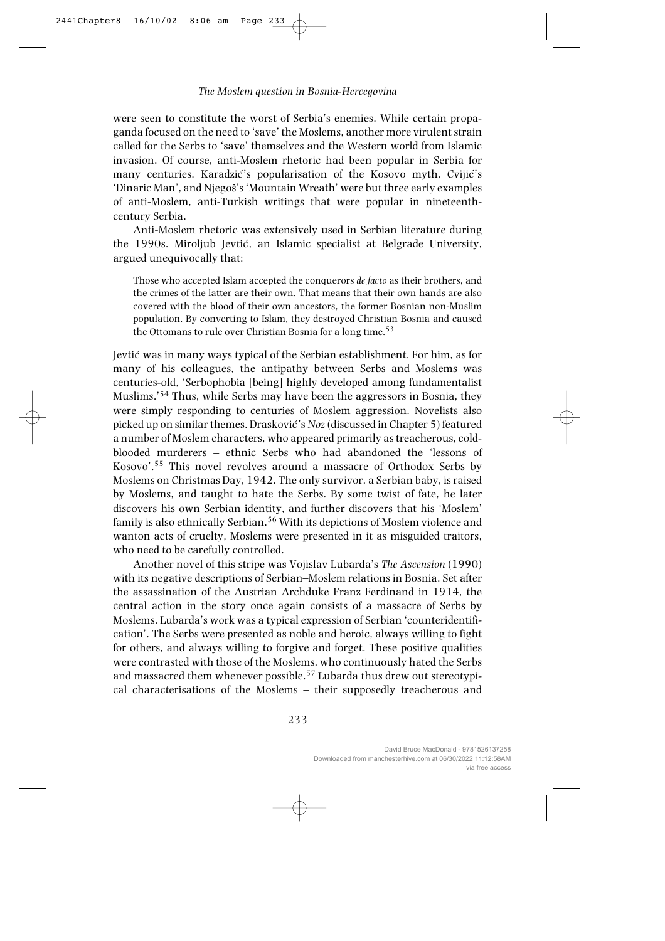were seen to constitute the worst of Serbia's enemies. While certain propaganda focused on the need to 'save' the Moslems, another more virulent strain called for the Serbs to 'save' themselves and the Western world from Islamic invasion. Of course, anti-Moslem rhetoric had been popular in Serbia for many centuries. Karadzic´'s popularisation of the Kosovo myth, Cvijic´'s 'Dinaric Man', and Njegosˇ's 'Mountain Wreath' were but three early examples of anti-Moslem, anti-Turkish writings that were popular in nineteenthcentury Serbia.

Anti-Moslem rhetoric was extensively used in Serbian literature during the 1990s. Miroljub Jevtic´, an Islamic specialist at Belgrade University, argued unequivocally that:

Those who accepted Islam accepted the conquerors *de facto* as their brothers, and the crimes of the latter are their own. That means that their own hands are also covered with the blood of their own ancestors, the former Bosnian non-Muslim population. By converting to Islam, they destroyed Christian Bosnia and caused the Ottomans to rule over Christian Bosnia for a long time.<sup>53</sup>

Jevtic´ was in many ways typical of the Serbian establishment. For him, as for many of his colleagues, the antipathy between Serbs and Moslems was centuries-old, 'Serbophobia [being] highly developed among fundamentalist Muslims.'54 Thus, while Serbs may have been the aggressors in Bosnia, they were simply responding to centuries of Moslem aggression. Novelists also picked up on similar themes. Draskovic´'s *Noz* (discussed in Chapter 5) featured a number of Moslem characters, who appeared primarily as treacherous, coldblooded murderers – ethnic Serbs who had abandoned the 'lessons of Kosovo'.55 This novel revolves around a massacre of Orthodox Serbs by Moslems on Christmas Day, 1942. The only survivor, a Serbian baby, is raised by Moslems, and taught to hate the Serbs. By some twist of fate, he later discovers his own Serbian identity, and further discovers that his 'Moslem' family is also ethnically Serbian.<sup>56</sup> With its depictions of Moslem violence and wanton acts of cruelty, Moslems were presented in it as misguided traitors, who need to be carefully controlled.

Another novel of this stripe was Vojislav Lubarda's *The Ascension* (1990) with its negative descriptions of Serbian–Moslem relations in Bosnia. Set after the assassination of the Austrian Archduke Franz Ferdinand in 1914, the central action in the story once again consists of a massacre of Serbs by Moslems. Lubarda's work was a typical expression of Serbian 'counteridentification'. The Serbs were presented as noble and heroic, always willing to fight for others, and always willing to forgive and forget. These positive qualities were contrasted with those of the Moslems, who continuously hated the Serbs and massacred them whenever possible.<sup>57</sup> Lubarda thus drew out stereotypical characterisations of the Moslems – their supposedly treacherous and

233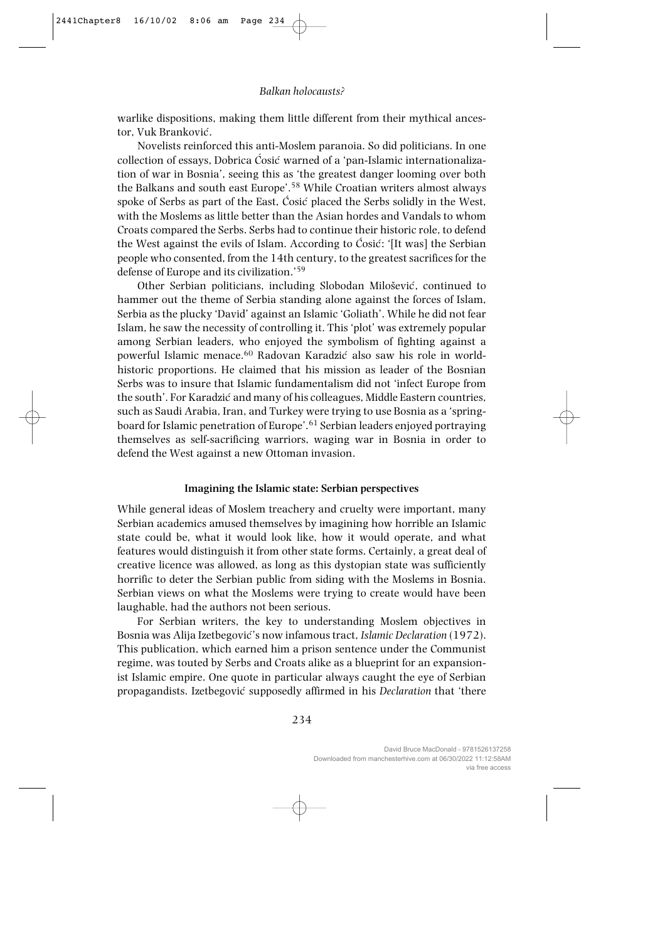warlike dispositions, making them little different from their mythical ancestor, Vuk Branković.

Novelists reinforced this anti-Moslem paranoia. So did politicians. In one collection of essays, Dobrica C´osic´ warned of a 'pan-Islamic internationalization of war in Bosnia', seeing this as 'the greatest danger looming over both the Balkans and south east Europe'.<sup>58</sup> While Croatian writers almost always spoke of Serbs as part of the East, Cosic´ placed the Serbs solidly in the West, with the Moslems as little better than the Asian hordes and Vandals to whom Croats compared the Serbs. Serbs had to continue their historic role, to defend the West against the evils of Islam. According to Cosic: '[It was] the Serbian people who consented, from the 14th century, to the greatest sacrifices for the defense of Europe and its civilization.'59

Other Serbian politicians, including Slobodan Milošević, continued to hammer out the theme of Serbia standing alone against the forces of Islam, Serbia as the plucky 'David' against an Islamic 'Goliath'. While he did not fear Islam, he saw the necessity of controlling it. This 'plot' was extremely popular among Serbian leaders, who enjoyed the symbolism of fighting against a powerful Islamic menace.<sup>60</sup> Radovan Karadzić also saw his role in worldhistoric proportions. He claimed that his mission as leader of the Bosnian Serbs was to insure that Islamic fundamentalism did not 'infect Europe from the south'. For Karadzic´ and many of his colleagues, Middle Eastern countries, such as Saudi Arabia, Iran, and Turkey were trying to use Bosnia as a 'springboard for Islamic penetration of Europe'.61 Serbian leaders enjoyed portraying themselves as self-sacrificing warriors, waging war in Bosnia in order to defend the West against a new Ottoman invasion.

## **Imagining the Islamic state: Serbian perspectives**

While general ideas of Moslem treachery and cruelty were important, many Serbian academics amused themselves by imagining how horrible an Islamic state could be, what it would look like, how it would operate, and what features would distinguish it from other state forms. Certainly, a great deal of creative licence was allowed, as long as this dystopian state was sufficiently horrific to deter the Serbian public from siding with the Moslems in Bosnia. Serbian views on what the Moslems were trying to create would have been laughable, had the authors not been serious.

For Serbian writers, the key to understanding Moslem objectives in Bosnia was Alija Izetbegovic´'s now infamous tract, *Islamic Declaration* (1972). This publication, which earned him a prison sentence under the Communist regime, was touted by Serbs and Croats alike as a blueprint for an expansionist Islamic empire. One quote in particular always caught the eye of Serbian propagandists. Izetbegovic´ supposedly affirmed in his *Declaration* that 'there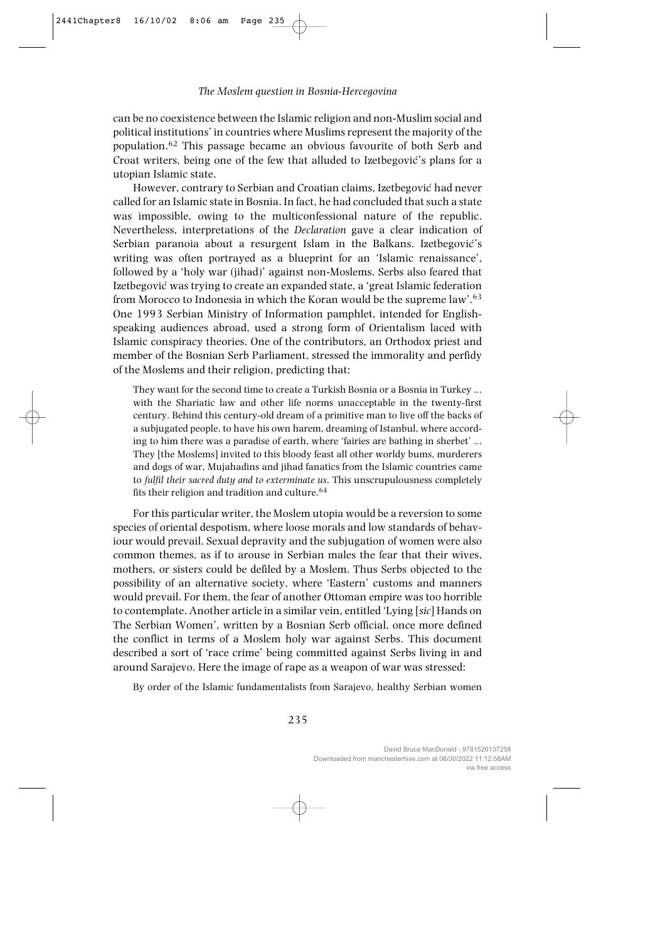can be no coexistence between the Islamic religion and non-Muslim social and political institutions' in countries where Muslims represent the majority of the population.62 This passage became an obvious favourite of both Serb and Croat writers, being one of the few that alluded to Izetbegovic´'s plans for a utopian Islamic state.

However, contrary to Serbian and Croatian claims, Izetbegovic´ had never called for an Islamic state in Bosnia. In fact, he had concluded that such a state was impossible, owing to the multiconfessional nature of the republic. Nevertheless, interpretations of the *Declaration* gave a clear indication of Serbian paranoia about a resurgent Islam in the Balkans. Izetbegovic´'s writing was often portrayed as a blueprint for an 'Islamic renaissance', followed by a 'holy war (jihad)' against non-Moslems. Serbs also feared that Izetbegović was trying to create an expanded state, a 'great Islamic federation from Morocco to Indonesia in which the Koran would be the supreme law'.63 One 1993 Serbian Ministry of Information pamphlet, intended for Englishspeaking audiences abroad, used a strong form of Orientalism laced with Islamic conspiracy theories. One of the contributors, an Orthodox priest and member of the Bosnian Serb Parliament, stressed the immorality and perfidy of the Moslems and their religion, predicting that:

They want for the second time to create a Turkish Bosnia or a Bosnia in Turkey ... with the Shariatic law and other life norms unacceptable in the twenty-first century. Behind this century-old dream of a primitive man to live off the backs of a subjugated people, to have his own harem, dreaming of Istanbul, where according to him there was a paradise of earth, where 'fairies are bathing in sherbet' ... They [the Moslems] invited to this bloody feast all other worldy bums, murderers and dogs of war, Mujahadins and jihad fanatics from the Islamic countries came to *fulfil their sacred duty and to exterminate us*. This unscrupulousness completely fits their religion and tradition and culture. $64$ 

For this particular writer, the Moslem utopia would be a reversion to some species of oriental despotism, where loose morals and low standards of behaviour would prevail. Sexual depravity and the subjugation of women were also common themes, as if to arouse in Serbian males the fear that their wives, mothers, or sisters could be defiled by a Moslem. Thus Serbs objected to the possibility of an alternative society, where 'Eastern' customs and manners would prevail. For them, the fear of another Ottoman empire was too horrible to contemplate. Another article in a similar vein, entitled 'Lying [*sic*] Hands on The Serbian Women', written by a Bosnian Serb official, once more defined the conflict in terms of a Moslem holy war against Serbs. This document described a sort of 'race crime' being committed against Serbs living in and around Sarajevo. Here the image of rape as a weapon of war was stressed:

By order of the Islamic fundamentalists from Sarajevo, healthy Serbian women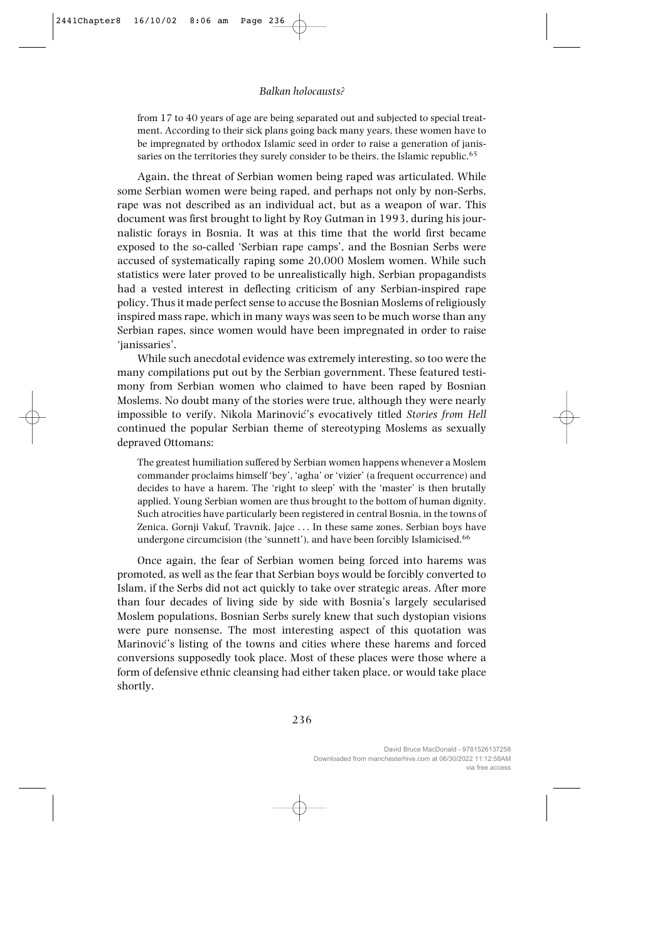from 17 to 40 years of age are being separated out and subjected to special treatment. According to their sick plans going back many years, these women have to be impregnated by orthodox Islamic seed in order to raise a generation of janissaries on the territories they surely consider to be theirs, the Islamic republic.<sup>65</sup>

Again, the threat of Serbian women being raped was articulated. While some Serbian women were being raped, and perhaps not only by non-Serbs, rape was not described as an individual act, but as a weapon of war. This document was first brought to light by Roy Gutman in 1993, during his journalistic forays in Bosnia. It was at this time that the world first became exposed to the so-called 'Serbian rape camps', and the Bosnian Serbs were accused of systematically raping some 20,000 Moslem women. While such statistics were later proved to be unrealistically high, Serbian propagandists had a vested interest in deflecting criticism of any Serbian-inspired rape policy. Thus it made perfect sense to accuse the Bosnian Moslems of religiously inspired mass rape, which in many ways was seen to be much worse than any Serbian rapes, since women would have been impregnated in order to raise 'janissaries'.

While such anecdotal evidence was extremely interesting, so too were the many compilations put out by the Serbian government. These featured testimony from Serbian women who claimed to have been raped by Bosnian Moslems. No doubt many of the stories were true, although they were nearly impossible to verify. Nikola Marinovic´'s evocatively titled *Stories from Hell* continued the popular Serbian theme of stereotyping Moslems as sexually depraved Ottomans:

The greatest humiliation suffered by Serbian women happens whenever a Moslem commander proclaims himself 'bey', 'agha' or 'vizier' (a frequent occurrence) and decides to have a harem. The 'right to sleep' with the 'master' is then brutally applied. Young Serbian women are thus brought to the bottom of human dignity. Such atrocities have particularly been registered in central Bosnia, in the towns of Zenica, Gornji Vakuf, Travnik, Jajce . . . In these same zones, Serbian boys have undergone circumcision (the 'sunnett'), and have been forcibly Islamicised.<sup>66</sup>

Once again, the fear of Serbian women being forced into harems was promoted, as well as the fear that Serbian boys would be forcibly converted to Islam, if the Serbs did not act quickly to take over strategic areas. After more than four decades of living side by side with Bosnia's largely secularised Moslem populations, Bosnian Serbs surely knew that such dystopian visions were pure nonsense. The most interesting aspect of this quotation was Marinovic´'s listing of the towns and cities where these harems and forced conversions supposedly took place. Most of these places were those where a form of defensive ethnic cleansing had either taken place, or would take place shortly.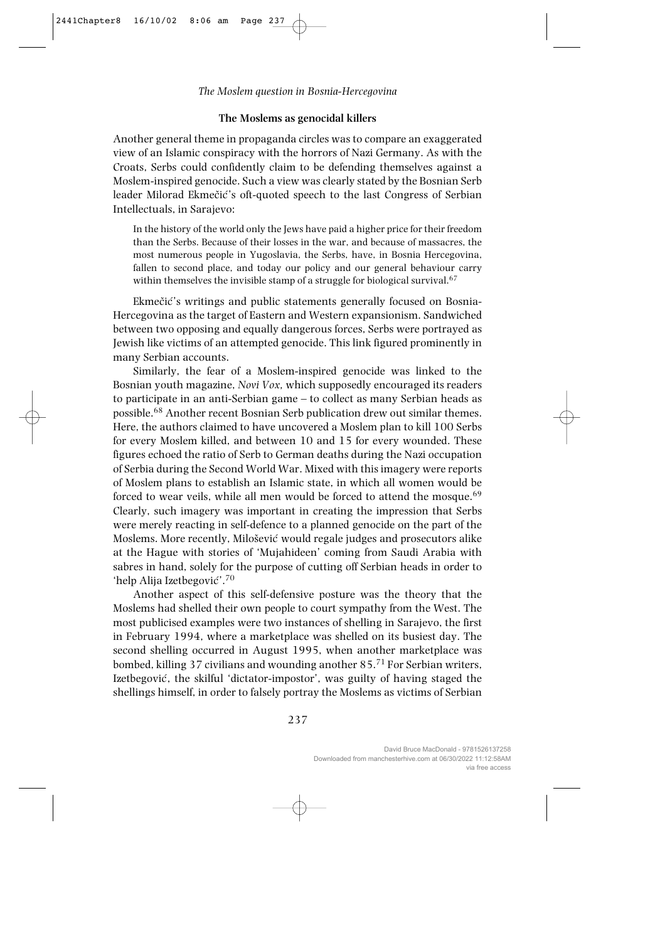# **The Moslems as genocidal killers**

Another general theme in propaganda circles was to compare an exaggerated view of an Islamic conspiracy with the horrors of Nazi Germany. As with the Croats, Serbs could confidently claim to be defending themselves against a Moslem-inspired genocide. Such a view was clearly stated by the Bosnian Serb leader Milorad Ekmečić's oft-quoted speech to the last Congress of Serbian Intellectuals, in Sarajevo:

In the history of the world only the Jews have paid a higher price for their freedom than the Serbs. Because of their losses in the war, and because of massacres, the most numerous people in Yugoslavia, the Serbs, have, in Bosnia Hercegovina, fallen to second place, and today our policy and our general behaviour carry within themselves the invisible stamp of a struggle for biological survival.<sup>67</sup>

Ekmečić's writings and public statements generally focused on Bosnia-Hercegovina as the target of Eastern and Western expansionism. Sandwiched between two opposing and equally dangerous forces, Serbs were portrayed as Jewish like victims of an attempted genocide. This link figured prominently in many Serbian accounts.

Similarly, the fear of a Moslem-inspired genocide was linked to the Bosnian youth magazine, *Novi Vox,* which supposedly encouraged its readers to participate in an anti-Serbian game – to collect as many Serbian heads as possible.68 Another recent Bosnian Serb publication drew out similar themes. Here, the authors claimed to have uncovered a Moslem plan to kill 100 Serbs for every Moslem killed, and between 10 and 15 for every wounded. These figures echoed the ratio of Serb to German deaths during the Nazi occupation of Serbia during the Second World War. Mixed with this imagery were reports of Moslem plans to establish an Islamic state, in which all women would be forced to wear veils, while all men would be forced to attend the mosque.<sup>69</sup> Clearly, such imagery was important in creating the impression that Serbs were merely reacting in self-defence to a planned genocide on the part of the Moslems. More recently, Milošević would regale judges and prosecutors alike at the Hague with stories of 'Mujahideen' coming from Saudi Arabia with sabres in hand, solely for the purpose of cutting off Serbian heads in order to 'help Alija Izetbegovic´'.70

Another aspect of this self-defensive posture was the theory that the Moslems had shelled their own people to court sympathy from the West. The most publicised examples were two instances of shelling in Sarajevo, the first in February 1994, where a marketplace was shelled on its busiest day. The second shelling occurred in August 1995, when another marketplace was bombed, killing 37 civilians and wounding another 85.71 For Serbian writers, Izetbegović, the skilful 'dictator-impostor', was guilty of having staged the shellings himself, in order to falsely portray the Moslems as victims of Serbian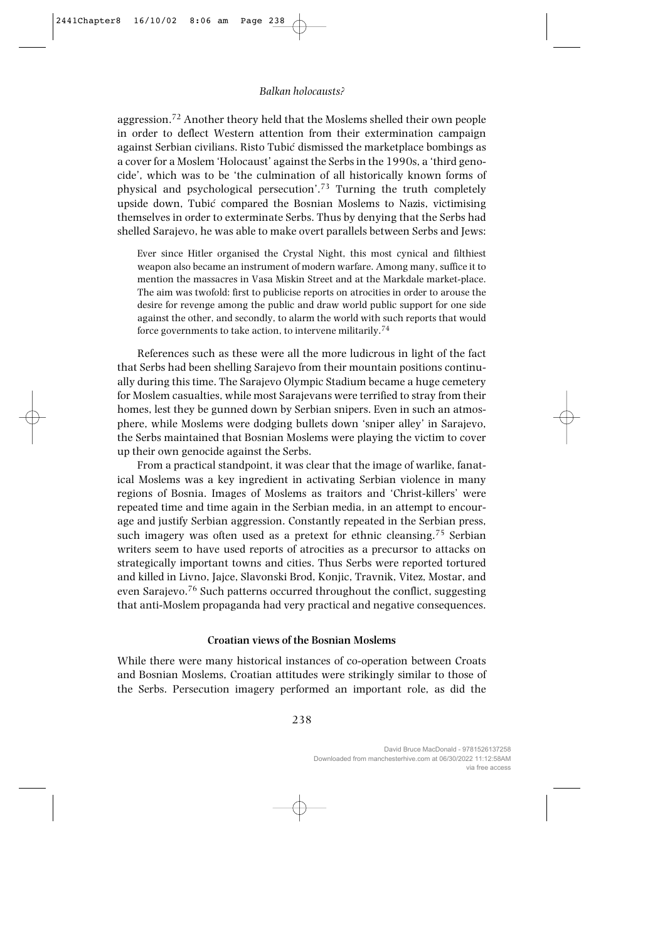aggression.<sup>72</sup> Another theory held that the Moslems shelled their own people in order to deflect Western attention from their extermination campaign against Serbian civilians. Risto Tubic´ dismissed the marketplace bombings as a cover for a Moslem 'Holocaust' against the Serbs in the 1990s, a 'third genocide', which was to be 'the culmination of all historically known forms of physical and psychological persecution'.73 Turning the truth completely upside down, Tubic´ compared the Bosnian Moslems to Nazis, victimising themselves in order to exterminate Serbs. Thus by denying that the Serbs had shelled Sarajevo, he was able to make overt parallels between Serbs and Jews:

Ever since Hitler organised the Crystal Night, this most cynical and filthiest weapon also became an instrument of modern warfare. Among many, suffice it to mention the massacres in Vasa Miskin Street and at the Markdale market-place. The aim was twofold: first to publicise reports on atrocities in order to arouse the desire for revenge among the public and draw world public support for one side against the other, and secondly, to alarm the world with such reports that would force governments to take action, to intervene militarily.74

References such as these were all the more ludicrous in light of the fact that Serbs had been shelling Sarajevo from their mountain positions continually during this time. The Sarajevo Olympic Stadium became a huge cemetery for Moslem casualties, while most Sarajevans were terrified to stray from their homes, lest they be gunned down by Serbian snipers. Even in such an atmosphere, while Moslems were dodging bullets down 'sniper alley' in Sarajevo, the Serbs maintained that Bosnian Moslems were playing the victim to cover up their own genocide against the Serbs.

From a practical standpoint, it was clear that the image of warlike, fanatical Moslems was a key ingredient in activating Serbian violence in many regions of Bosnia. Images of Moslems as traitors and 'Christ-killers' were repeated time and time again in the Serbian media, in an attempt to encourage and justify Serbian aggression. Constantly repeated in the Serbian press, such imagery was often used as a pretext for ethnic cleansing.<sup>75</sup> Serbian writers seem to have used reports of atrocities as a precursor to attacks on strategically important towns and cities. Thus Serbs were reported tortured and killed in Livno, Jajce, Slavonski Brod, Konjic, Travnik, Vitez, Mostar, and even Sarajevo.<sup>76</sup> Such patterns occurred throughout the conflict, suggesting that anti-Moslem propaganda had very practical and negative consequences.

# **Croatian views of the Bosnian Moslems**

While there were many historical instances of co-operation between Croats and Bosnian Moslems, Croatian attitudes were strikingly similar to those of the Serbs. Persecution imagery performed an important role, as did the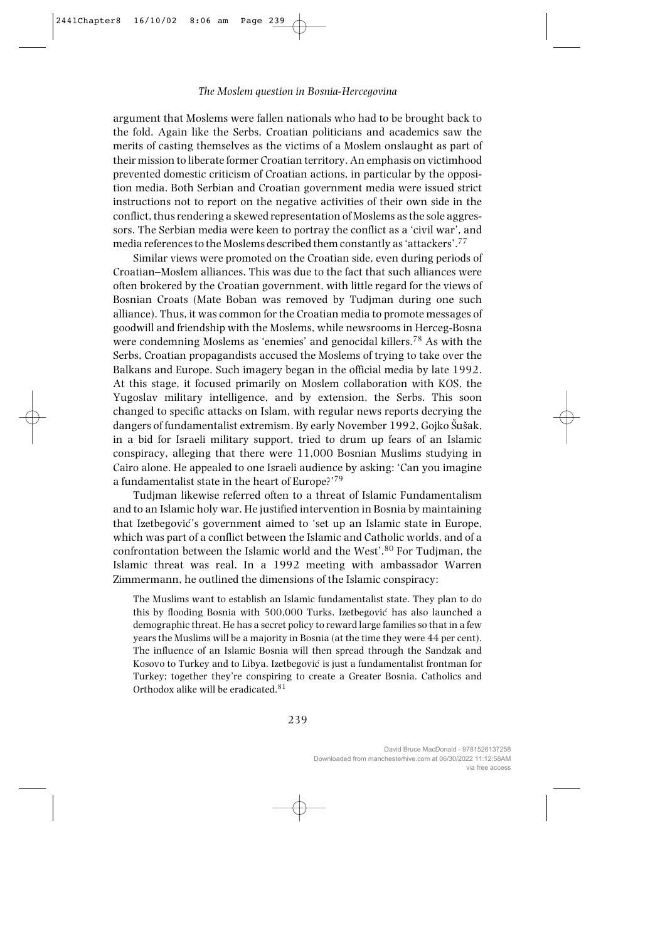argument that Moslems were fallen nationals who had to be brought back to the fold. Again like the Serbs, Croatian politicians and academics saw the merits of casting themselves as the victims of a Moslem onslaught as part of their mission to liberate former Croatian territory. An emphasis on victimhood prevented domestic criticism of Croatian actions, in particular by the opposition media. Both Serbian and Croatian government media were issued strict instructions not to report on the negative activities of their own side in the conflict, thus rendering a skewed representation of Moslems as the sole aggressors. The Serbian media were keen to portray the conflict as a 'civil war', and media references to the Moslems described them constantly as 'attackers'.77

Similar views were promoted on the Croatian side, even during periods of Croatian–Moslem alliances. This was due to the fact that such alliances were often brokered by the Croatian government, with little regard for the views of Bosnian Croats (Mate Boban was removed by Tudjman during one such alliance). Thus, it was common for the Croatian media to promote messages of goodwill and friendship with the Moslems, while newsrooms in Herceg-Bosna were condemning Moslems as 'enemies' and genocidal killers.78 As with the Serbs, Croatian propagandists accused the Moslems of trying to take over the Balkans and Europe. Such imagery began in the official media by late 1992. At this stage, it focused primarily on Moslem collaboration with KOS, the Yugoslav military intelligence, and by extension, the Serbs. This soon changed to specific attacks on Islam, with regular news reports decrying the dangers of fundamentalist extremism. By early November 1992, Gojko Šušak, in a bid for Israeli military support, tried to drum up fears of an Islamic conspiracy, alleging that there were 11,000 Bosnian Muslims studying in Cairo alone. He appealed to one Israeli audience by asking: 'Can you imagine a fundamentalist state in the heart of Europe?'79

Tudjman likewise referred often to a threat of Islamic Fundamentalism and to an Islamic holy war. He justified intervention in Bosnia by maintaining that Izetbegovic´'s government aimed to 'set up an Islamic state in Europe, which was part of a conflict between the Islamic and Catholic worlds, and of a confrontation between the Islamic world and the West'.<sup>80</sup> For Tudjman, the Islamic threat was real. In a 1992 meeting with ambassador Warren Zimmermann, he outlined the dimensions of the Islamic conspiracy:

The Muslims want to establish an Islamic fundamentalist state. They plan to do this by flooding Bosnia with 500,000 Turks. Izetbegovic´ has also launched a demographic threat. He has a secret policy to reward large families so that in a few years the Muslims will be a majority in Bosnia (at the time they were 44 per cent). The influence of an Islamic Bosnia will then spread through the Sandzak and Kosovo to Turkey and to Libya. Izetbegović is just a fundamentalist frontman for Turkey; together they're conspiring to create a Greater Bosnia. Catholics and Orthodox alike will be eradicated.  $81$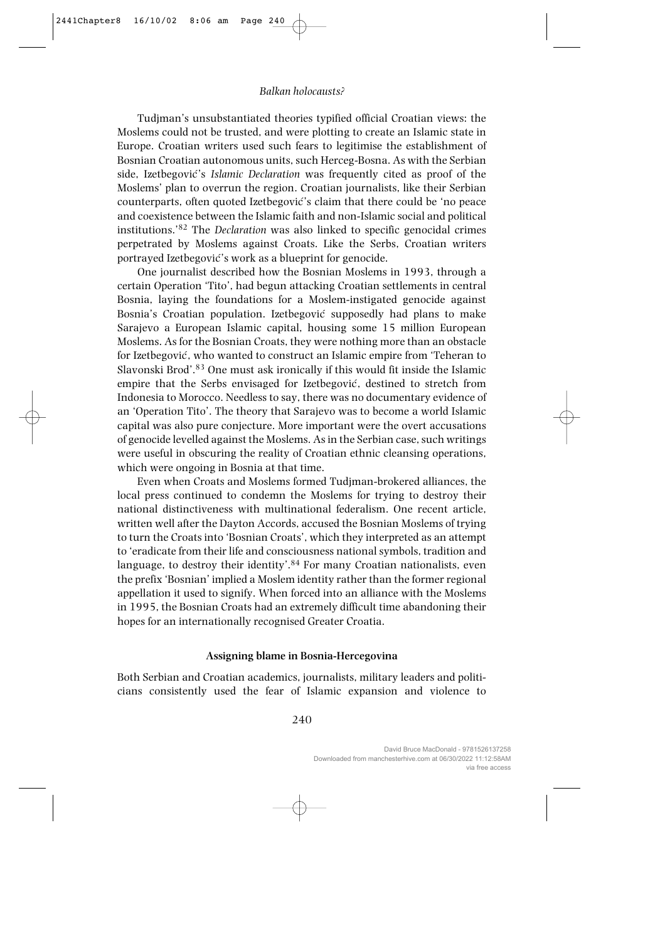Tudjman's unsubstantiated theories typified official Croatian views: the Moslems could not be trusted, and were plotting to create an Islamic state in Europe. Croatian writers used such fears to legitimise the establishment of Bosnian Croatian autonomous units, such Herceg-Bosna. As with the Serbian side, Izetbegovic´'s *Islamic Declaration* was frequently cited as proof of the Moslems' plan to overrun the region. Croatian journalists, like their Serbian counterparts, often quoted Izetbegovic´'s claim that there could be 'no peace and coexistence between the Islamic faith and non-Islamic social and political institutions.'82 The *Declaration* was also linked to specific genocidal crimes perpetrated by Moslems against Croats. Like the Serbs, Croatian writers portrayed Izetbegovic´'s work as a blueprint for genocide.

One journalist described how the Bosnian Moslems in 1993, through a certain Operation 'Tito', had begun attacking Croatian settlements in central Bosnia, laying the foundations for a Moslem-instigated genocide against Bosnia's Croatian population. Izetbegovic´ supposedly had plans to make Sarajevo a European Islamic capital, housing some 15 million European Moslems. As for the Bosnian Croats, they were nothing more than an obstacle for Izetbegovic´, who wanted to construct an Islamic empire from 'Teheran to Slavonski Brod'.83 One must ask ironically if this would fit inside the Islamic empire that the Serbs envisaged for Izetbegovic, destined to stretch from Indonesia to Morocco. Needless to say, there was no documentary evidence of an 'Operation Tito'. The theory that Sarajevo was to become a world Islamic capital was also pure conjecture. More important were the overt accusations of genocide levelled against the Moslems. As in the Serbian case, such writings were useful in obscuring the reality of Croatian ethnic cleansing operations, which were ongoing in Bosnia at that time.

Even when Croats and Moslems formed Tudjman-brokered alliances, the local press continued to condemn the Moslems for trying to destroy their national distinctiveness with multinational federalism. One recent article, written well after the Dayton Accords, accused the Bosnian Moslems of trying to turn the Croats into 'Bosnian Croats', which they interpreted as an attempt to 'eradicate from their life and consciousness national symbols, tradition and language, to destroy their identity'.<sup>84</sup> For many Croatian nationalists, even the prefix 'Bosnian' implied a Moslem identity rather than the former regional appellation it used to signify. When forced into an alliance with the Moslems in 1995, the Bosnian Croats had an extremely difficult time abandoning their hopes for an internationally recognised Greater Croatia.

# **Assigning blame in Bosnia-Hercegovina**

Both Serbian and Croatian academics, journalists, military leaders and politicians consistently used the fear of Islamic expansion and violence to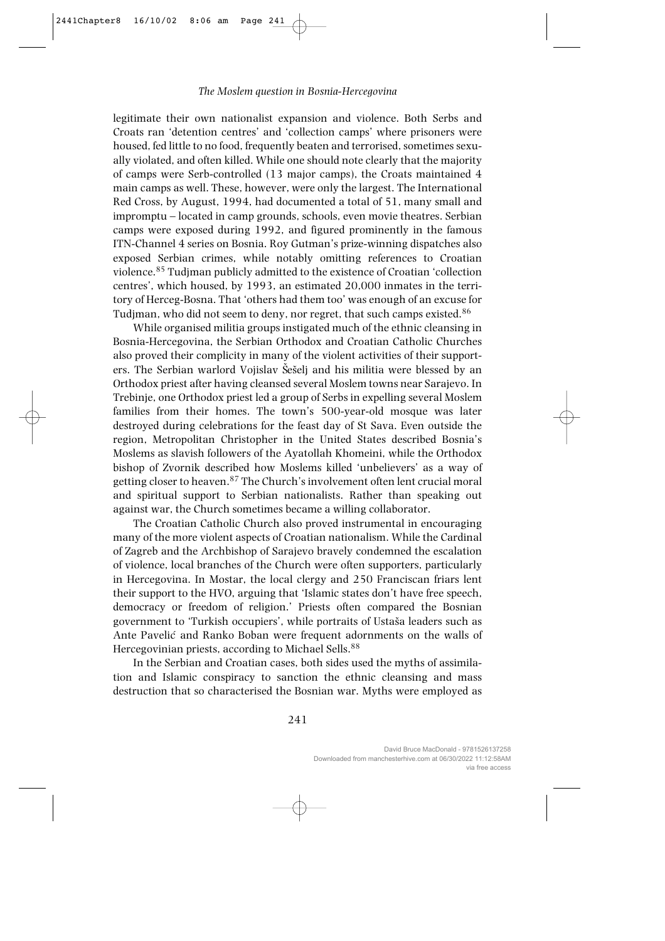legitimate their own nationalist expansion and violence. Both Serbs and Croats ran 'detention centres' and 'collection camps' where prisoners were housed, fed little to no food, frequently beaten and terrorised, sometimes sexually violated, and often killed. While one should note clearly that the majority of camps were Serb-controlled (13 major camps), the Croats maintained 4 main camps as well. These, however, were only the largest. The International Red Cross, by August, 1994, had documented a total of 51, many small and impromptu – located in camp grounds, schools, even movie theatres. Serbian camps were exposed during 1992, and figured prominently in the famous ITN-Channel 4 series on Bosnia. Roy Gutman's prize-winning dispatches also exposed Serbian crimes, while notably omitting references to Croatian violence.85 Tudjman publicly admitted to the existence of Croatian 'collection centres', which housed, by 1993, an estimated 20,000 inmates in the territory of Herceg-Bosna. That 'others had them too' was enough of an excuse for Tudiman, who did not seem to deny, nor regret, that such camps existed.<sup>86</sup>

While organised militia groups instigated much of the ethnic cleansing in Bosnia-Hercegovina, the Serbian Orthodox and Croatian Catholic Churches also proved their complicity in many of the violent activities of their supporters. The Serbian warlord Vojislav Šešelj and his militia were blessed by an Orthodox priest after having cleansed several Moslem towns near Sarajevo. In Trebinje, one Orthodox priest led a group of Serbs in expelling several Moslem families from their homes. The town's 500-year-old mosque was later destroyed during celebrations for the feast day of St Sava. Even outside the region, Metropolitan Christopher in the United States described Bosnia's Moslems as slavish followers of the Ayatollah Khomeini, while the Orthodox bishop of Zvornik described how Moslems killed 'unbelievers' as a way of getting closer to heaven.87 The Church's involvement often lent crucial moral and spiritual support to Serbian nationalists. Rather than speaking out against war, the Church sometimes became a willing collaborator.

The Croatian Catholic Church also proved instrumental in encouraging many of the more violent aspects of Croatian nationalism. While the Cardinal of Zagreb and the Archbishop of Sarajevo bravely condemned the escalation of violence, local branches of the Church were often supporters, particularly in Hercegovina. In Mostar, the local clergy and 250 Franciscan friars lent their support to the HVO, arguing that 'Islamic states don't have free speech, democracy or freedom of religion.' Priests often compared the Bosnian government to 'Turkish occupiers', while portraits of Ustaša leaders such as Ante Pavelic´ and Ranko Boban were frequent adornments on the walls of Hercegovinian priests, according to Michael Sells.<sup>88</sup>

In the Serbian and Croatian cases, both sides used the myths of assimilation and Islamic conspiracy to sanction the ethnic cleansing and mass destruction that so characterised the Bosnian war. Myths were employed as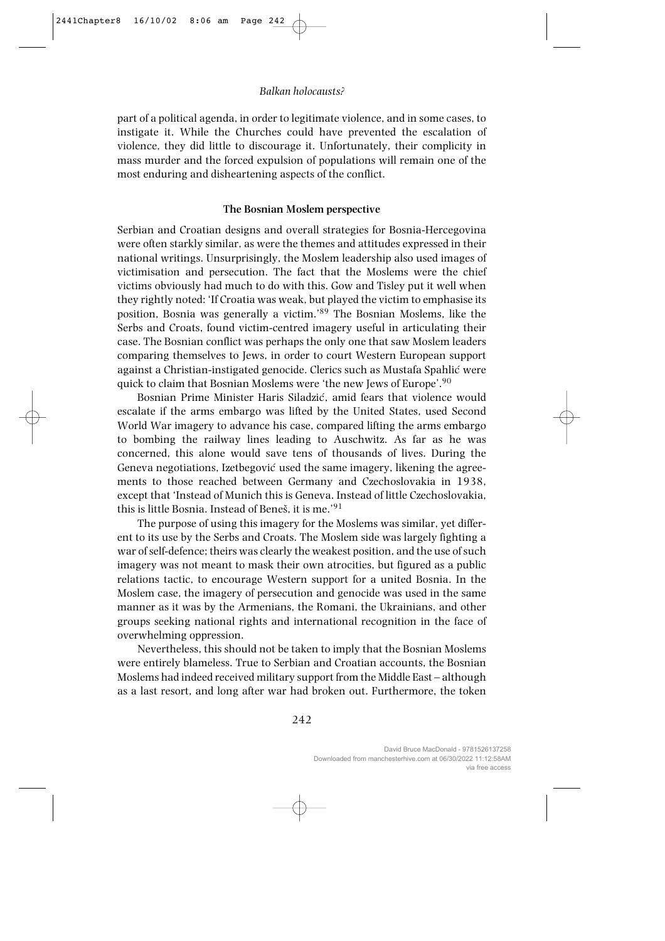part of a political agenda, in order to legitimate violence, and in some cases, to instigate it. While the Churches could have prevented the escalation of violence, they did little to discourage it. Unfortunately, their complicity in mass murder and the forced expulsion of populations will remain one of the most enduring and disheartening aspects of the conflict.

### **The Bosnian Moslem perspective**

Serbian and Croatian designs and overall strategies for Bosnia-Hercegovina were often starkly similar, as were the themes and attitudes expressed in their national writings. Unsurprisingly, the Moslem leadership also used images of victimisation and persecution. The fact that the Moslems were the chief victims obviously had much to do with this. Gow and Tisley put it well when they rightly noted: 'If Croatia was weak, but played the victim to emphasise its position, Bosnia was generally a victim.'89 The Bosnian Moslems, like the Serbs and Croats, found victim-centred imagery useful in articulating their case. The Bosnian conflict was perhaps the only one that saw Moslem leaders comparing themselves to Jews, in order to court Western European support against a Christian-instigated genocide. Clerics such as Mustafa Spahlic´ were quick to claim that Bosnian Moslems were 'the new Jews of Europe'.<sup>90</sup>

Bosnian Prime Minister Haris Siladzić, amid fears that violence would escalate if the arms embargo was lifted by the United States, used Second World War imagery to advance his case, compared lifting the arms embargo to bombing the railway lines leading to Auschwitz. As far as he was concerned, this alone would save tens of thousands of lives. During the Geneva negotiations, Izetbegović used the same imagery, likening the agreements to those reached between Germany and Czechoslovakia in 1938, except that 'Instead of Munich this is Geneva. Instead of little Czechoslovakia, this is little Bosnia. Instead of Beneš, it is me.' $91$ 

The purpose of using this imagery for the Moslems was similar, yet different to its use by the Serbs and Croats. The Moslem side was largely fighting a war of self-defence; theirs was clearly the weakest position, and the use of such imagery was not meant to mask their own atrocities, but figured as a public relations tactic, to encourage Western support for a united Bosnia. In the Moslem case, the imagery of persecution and genocide was used in the same manner as it was by the Armenians, the Romani, the Ukrainians, and other groups seeking national rights and international recognition in the face of overwhelming oppression.

Nevertheless, this should not be taken to imply that the Bosnian Moslems were entirely blameless. True to Serbian and Croatian accounts, the Bosnian Moslems had indeed received military support from the Middle East – although as a last resort, and long after war had broken out. Furthermore, the token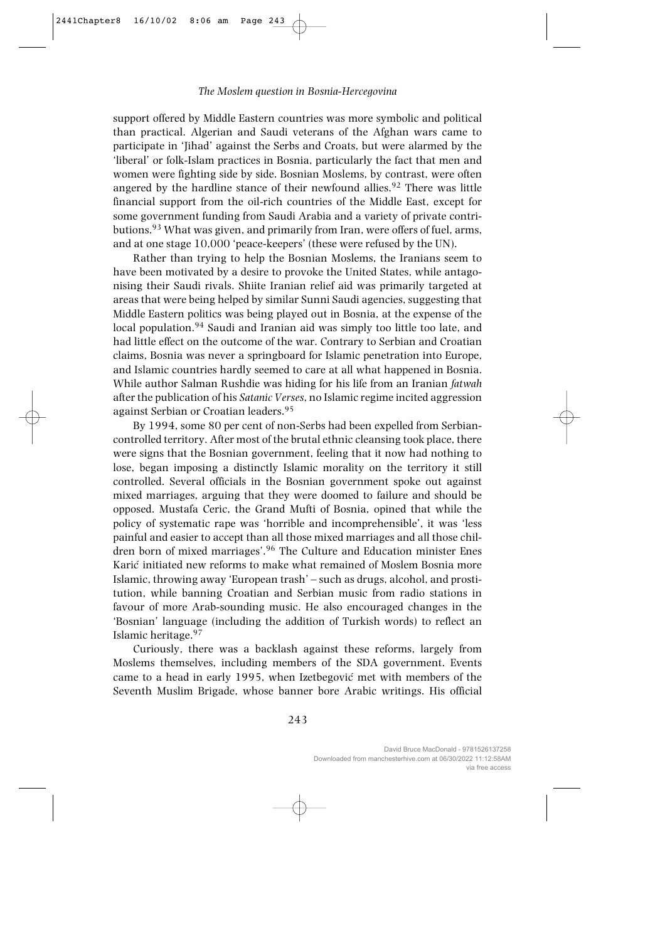support offered by Middle Eastern countries was more symbolic and political than practical. Algerian and Saudi veterans of the Afghan wars came to participate in 'Jihad' against the Serbs and Croats, but were alarmed by the 'liberal' or folk-Islam practices in Bosnia, particularly the fact that men and women were fighting side by side. Bosnian Moslems, by contrast, were often angered by the hardline stance of their newfound allies.<sup>92</sup> There was little financial support from the oil-rich countries of the Middle East, except for some government funding from Saudi Arabia and a variety of private contributions.93 What was given, and primarily from Iran, were offers of fuel, arms, and at one stage 10,000 'peace-keepers' (these were refused by the UN).

Rather than trying to help the Bosnian Moslems, the Iranians seem to have been motivated by a desire to provoke the United States, while antagonising their Saudi rivals. Shiite Iranian relief aid was primarily targeted at areas that were being helped by similar Sunni Saudi agencies, suggesting that Middle Eastern politics was being played out in Bosnia, at the expense of the local population.<sup>94</sup> Saudi and Iranian aid was simply too little too late, and had little effect on the outcome of the war. Contrary to Serbian and Croatian claims, Bosnia was never a springboard for Islamic penetration into Europe, and Islamic countries hardly seemed to care at all what happened in Bosnia. While author Salman Rushdie was hiding for his life from an Iranian *fatwah* after the publication of his *Satanic Verses*, no Islamic regime incited aggression against Serbian or Croatian leaders.95

By 1994, some 80 per cent of non-Serbs had been expelled from Serbiancontrolled territory. After most of the brutal ethnic cleansing took place, there were signs that the Bosnian government, feeling that it now had nothing to lose, began imposing a distinctly Islamic morality on the territory it still controlled. Several officials in the Bosnian government spoke out against mixed marriages, arguing that they were doomed to failure and should be opposed. Mustafa Ceric, the Grand Mufti of Bosnia, opined that while the policy of systematic rape was 'horrible and incomprehensible', it was 'less painful and easier to accept than all those mixed marriages and all those children born of mixed marriages'.<sup>96</sup> The Culture and Education minister Enes Karić initiated new reforms to make what remained of Moslem Bosnia more Islamic, throwing away 'European trash' – such as drugs, alcohol, and prostitution, while banning Croatian and Serbian music from radio stations in favour of more Arab-sounding music. He also encouraged changes in the 'Bosnian' language (including the addition of Turkish words) to reflect an Islamic heritage.97

Curiously, there was a backlash against these reforms, largely from Moslems themselves, including members of the SDA government. Events came to a head in early 1995, when Izetbegovic´ met with members of the Seventh Muslim Brigade, whose banner bore Arabic writings. His official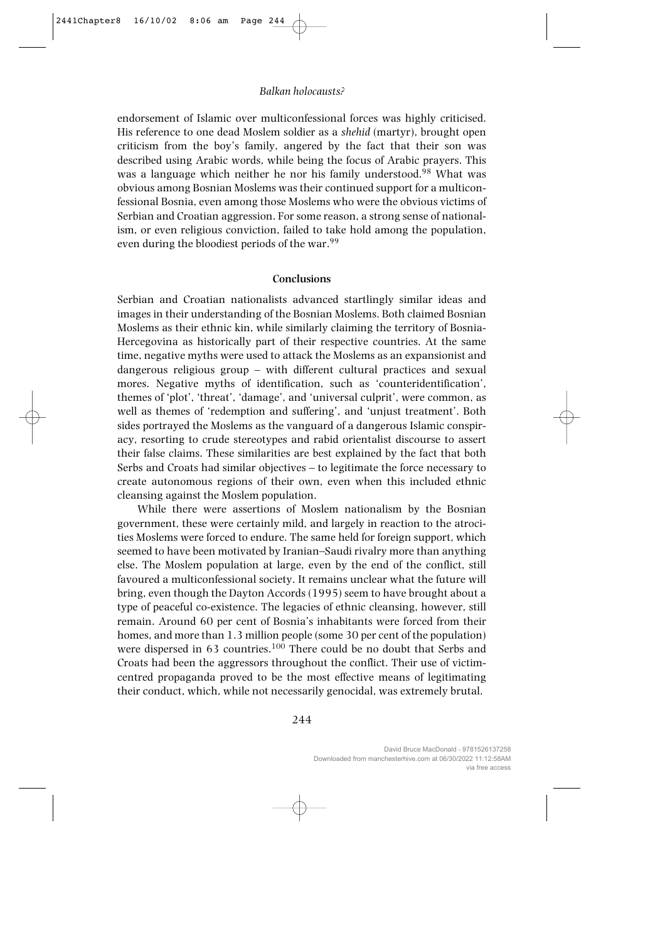endorsement of Islamic over multiconfessional forces was highly criticised. His reference to one dead Moslem soldier as a *shehid* (martyr), brought open criticism from the boy's family, angered by the fact that their son was described using Arabic words, while being the focus of Arabic prayers. This was a language which neither he nor his family understood.<sup>98</sup> What was obvious among Bosnian Moslems was their continued support for a multiconfessional Bosnia, even among those Moslems who were the obvious victims of Serbian and Croatian aggression. For some reason, a strong sense of nationalism, or even religious conviction, failed to take hold among the population, even during the bloodiest periods of the war.<sup>99</sup>

#### **Conclusions**

Serbian and Croatian nationalists advanced startlingly similar ideas and images in their understanding of the Bosnian Moslems. Both claimed Bosnian Moslems as their ethnic kin, while similarly claiming the territory of Bosnia-Hercegovina as historically part of their respective countries. At the same time, negative myths were used to attack the Moslems as an expansionist and dangerous religious group – with different cultural practices and sexual mores. Negative myths of identification, such as 'counteridentification', themes of 'plot', 'threat', 'damage', and 'universal culprit', were common, as well as themes of 'redemption and suffering', and 'unjust treatment'. Both sides portrayed the Moslems as the vanguard of a dangerous Islamic conspiracy, resorting to crude stereotypes and rabid orientalist discourse to assert their false claims. These similarities are best explained by the fact that both Serbs and Croats had similar objectives – to legitimate the force necessary to create autonomous regions of their own, even when this included ethnic cleansing against the Moslem population.

While there were assertions of Moslem nationalism by the Bosnian government, these were certainly mild, and largely in reaction to the atrocities Moslems were forced to endure. The same held for foreign support, which seemed to have been motivated by Iranian–Saudi rivalry more than anything else. The Moslem population at large, even by the end of the conflict, still favoured a multiconfessional society. It remains unclear what the future will bring, even though the Dayton Accords (1995) seem to have brought about a type of peaceful co-existence. The legacies of ethnic cleansing, however, still remain. Around 60 per cent of Bosnia's inhabitants were forced from their homes, and more than 1.3 million people (some 30 per cent of the population) were dispersed in  $63$  countries.<sup>100</sup> There could be no doubt that Serbs and Croats had been the aggressors throughout the conflict. Their use of victimcentred propaganda proved to be the most effective means of legitimating their conduct, which, while not necessarily genocidal, was extremely brutal.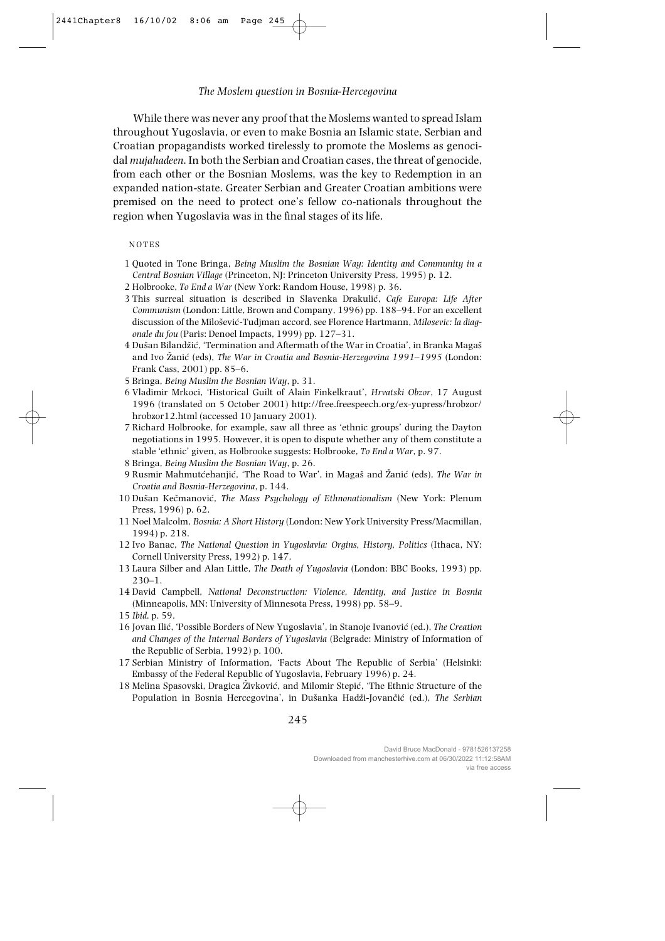While there was never any proof that the Moslems wanted to spread Islam throughout Yugoslavia, or even to make Bosnia an Islamic state, Serbian and Croatian propagandists worked tirelessly to promote the Moslems as genocidal *mujahadeen*. In both the Serbian and Croatian cases, the threat of genocide, from each other or the Bosnian Moslems, was the key to Redemption in an expanded nation-state. Greater Serbian and Greater Croatian ambitions were premised on the need to protect one's fellow co-nationals throughout the region when Yugoslavia was in the final stages of its life.

#### NOTES

- 1 Quoted in Tone Bringa, *Being Muslim the Bosnian Way: Identity and Community in a Central Bosnian Village* (Princeton, NJ: Princeton University Press, 1995) p. 12.
- 2 Holbrooke, *To End a War* (New York: Random House, 1998) p. 36.
- 3 This surreal situation is described in Slavenka Drakulic´, *Cafe Europa: Life After Communism* (London: Little, Brown and Company, 1996) pp. 188–94. For an excellent discussion of the Milošević-Tudjman accord, see Florence Hartmann, *Milosevic: la diagonale du fou* (Paris: Denoel Impacts, 1999) pp. 127–31.
- 4 Dušan Bilandžić, 'Termination and Aftermath of the War in Croatia', in Branka Magaš and Ivo Zanić (eds), *The War in Croatia and Bosnia-Herzegovina 1991–1995* (London: Frank Cass, 2001) pp. 85–6.
- 5 Bringa, *Being Muslim the Bosnian Way*, p. 31.
- 6 Vladimir Mrkoci, 'Historical Guilt of Alain Finkelkraut', *Hrvatski Obzor*, 17 August 1996 (translated on 5 October 2001) http://free.freespeech.org/ex-yupress/hrobzor/ hrobzor12.html (accessed 10 January 2001).
- 7 Richard Holbrooke, for example, saw all three as 'ethnic groups' during the Dayton negotiations in 1995. However, it is open to dispute whether any of them constitute a stable 'ethnic' given, as Holbrooke suggests: Holbrooke, *To End a War*, p. 97.
- 8 Bringa, *Being Muslim the Bosnian Way*, p. 26.
- 9 Rusmir Mahmutc´ehanjic´, 'The Road to War', in Magasˇ and Zˇanic´ (eds), *The War in Croatia and Bosnia-Herzegovina*, p. 144.
- 10 Dušan Kečmanović, *The Mass Psychology of Ethnonationalism* (New York: Plenum Press, 1996) p. 62.
- 11 Noel Malcolm, *Bosnia: A Short History* (London: New York University Press/Macmillan, 1994) p. 218.
- 12 Ivo Banac, *The National Question in Yugoslavia: Orgins, History, Politics* (Ithaca, NY: Cornell University Press, 1992) p. 147.
- 13 Laura Silber and Alan Little, *The Death of Yugoslavia* (London: BBC Books, 1993) pp. 230–1.
- 14 David Campbell, *National Deconstruction: Violence, Identity, and Justice in Bosnia* (Minneapolis, MN: University of Minnesota Press, 1998) pp. 58–9.
- 15 *Ibid*. p. 59.
- 16 Jovan Ilic´, 'Possible Borders of New Yugoslavia', in Stanoje Ivanovic´ (ed.), *The Creation and Changes of the Internal Borders of Yugoslavia* (Belgrade: Ministry of Information of the Republic of Serbia, 1992) p. 100.
- 17 Serbian Ministry of Information, 'Facts About The Republic of Serbia' (Helsinki: Embassy of the Federal Republic of Yugoslavia, February 1996) p. 24.
- 18 Melina Spasovski, Dragica Živković, and Milomir Stepić, 'The Ethnic Structure of the Population in Bosnia Hercegovina', in Dušanka Hadži-Jovančić (ed.), *The Serbian*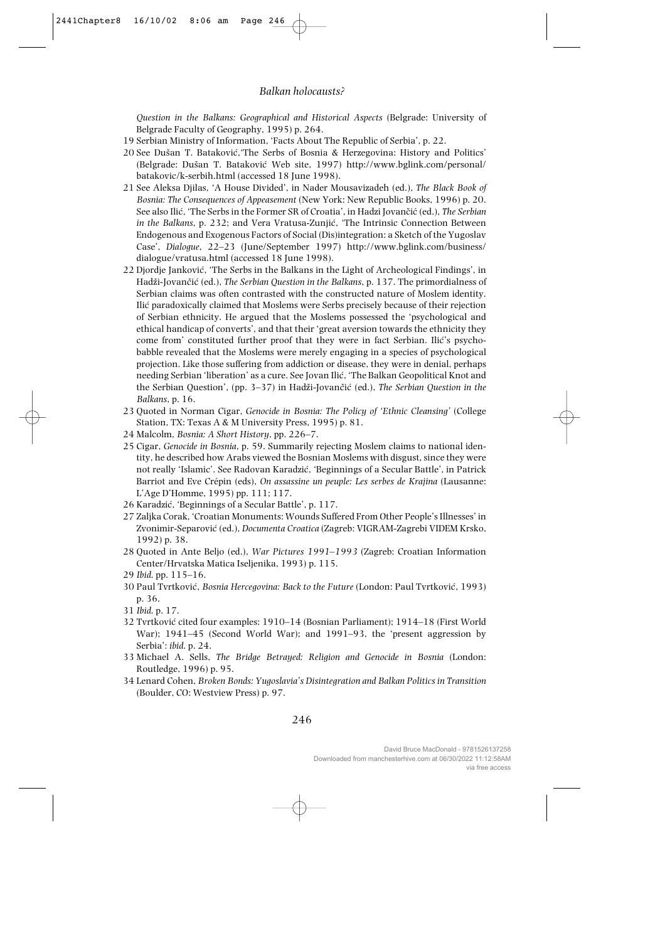*Question in the Balkans: Geographical and Historical Aspects* (Belgrade: University of Belgrade Faculty of Geography, 1995) p. 264.

- 19 Serbian Ministry of Information, 'Facts About The Republic of Serbia', p. 22.
- 20 See Dušan T. Bataković, The Serbs of Bosnia & Herzegovina: History and Politics' (Belgrade: Dušan T. Bataković Web site, 1997) http://www.bglink.com/personal/ batakovic/k-serbih.html (accessed 18 June 1998).
- 21 See Aleksa Djilas, 'A House Divided', in Nader Mousavizadeh (ed.), *The Black Book of Bosnia: The Consequences of Appeasement* (New York: New Republic Books, 1996) p. 20. See also Ilić, 'The Serbs in the Former SR of Croatia', in Hadzi Jovančić (ed.), *The Serbian in the Balkans*, p. 232; and Vera Vratusa-Zunjic´, 'The Intrinsic Connection Between Endogenous and Exogenous Factors of Social (Dis)integration: a Sketch of the Yugoslav Case', *Dialogue*, 22–23 (June/September 1997) http://www.bglink.com/business/ dialogue/vratusa.html (accessed 18 June 1998).
- 22 Djordje Janković, 'The Serbs in the Balkans in the Light of Archeological Findings', in Hadži-Jovančić (ed.), *The Serbian Question in the Balkans*, p. 137. The primordialness of Serbian claims was often contrasted with the constructed nature of Moslem identity. Ilic´ paradoxically claimed that Moslems were Serbs precisely because of their rejection of Serbian ethnicity. He argued that the Moslems possessed the 'psychological and ethical handicap of converts', and that their 'great aversion towards the ethnicity they come from' constituted further proof that they were in fact Serbian. Ilic´'s psychobabble revealed that the Moslems were merely engaging in a species of psychological projection. Like those suffering from addiction or disease, they were in denial, perhaps needing Serbian 'liberation' as a cure. See Jovan Ilic´, 'The Balkan Geopolitical Knot and the Serbian Question', (pp. 3–37) in Hadži-Jovančić (ed.), *The Serbian Question in the Balkans*, p. 16.
- 23 Quoted in Norman Cigar, *Genocide in Bosnia: The Policy of 'Ethnic Cleansing'* (College Station, TX: Texas A & M University Press, 1995) p. 81.
- 24 Malcolm, *Bosnia: A Short History*, pp. 226–7.
- 25 Cigar, *Genocide in Bosnia*, p. 59. Summarily rejecting Moslem claims to national identity, he described how Arabs viewed the Bosnian Moslems with disgust, since they were not really 'Islamic'. See Radovan Karadzic´, 'Beginnings of a Secular Battle', in Patrick Barriot and Eve Crépin (eds), *On assassine un peuple: Les serbes de Krajina* (Lausanne: L'Age D'Homme, 1995) pp. 111; 117.
- 26 Karadzic´, 'Beginnings of a Secular Battle', p. 117.
- 27 Zaljka Corak, 'Croatian Monuments: Wounds Suffered From Other People's Illnesses' in Zvonimir-Separovic´ (ed.), *Documenta Croatica* (Zagreb: VIGRAM-Zagrebi VIDEM Krsko, 1992) p. 38.
- 28 Quoted in Ante Beljo (ed.), *War Pictures 1991–1993* (Zagreb: Croatian Information Center/Hrvatska Matica Iseljenika, 1993) p. 115.
- 29 *Ibid*. pp. 115–16.
- 30 Paul Tvrtkovic´, *Bosnia Hercegovina: Back to the Future* (London: Paul Tvrtkovic´, 1993) p. 36.
- 31 *Ibid*. p. 17.
- 32 Tvrtkovic´ cited four examples: 1910–14 (Bosnian Parliament); 1914–18 (First World War); 1941–45 (Second World War); and 1991–93, the 'present aggression by Serbia': *ibid*. p. 24.
- 33 Michael A. Sells, *The Bridge Betrayed: Religion and Genocide in Bosnia* (London: Routledge, 1996) p. 95.
- 34 Lenard Cohen, *Broken Bonds: Yugoslavia's Disintegration and Balkan Politics in Transition* (Boulder, CO: Westview Press) p. 97.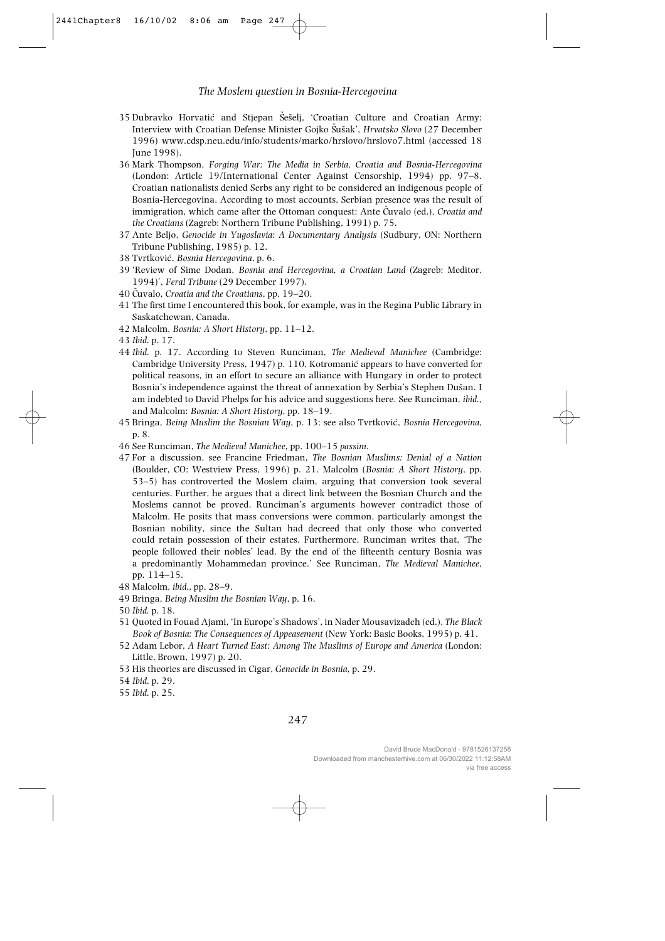- 35 Dubravko Horvatić and Stjepan Šešelj, 'Croatian Culture and Croatian Army: Interview with Croatian Defense Minister Gojko Šušak', *Hrvatsko Slovo* (27 December 1996) www.cdsp.neu.edu/info/students/marko/hrslovo/hrslovo7.html (accessed 18 June 1998).
- 36 Mark Thompson, *Forging War: The Media in Serbia, Croatia and Bosnia-Hercegovina* (London: Article 19/International Center Against Censorship, 1994) pp. 97–8. Croatian nationalists denied Serbs any right to be considered an indigenous people of Bosnia-Hercegovina. According to most accounts, Serbian presence was the result of immigration, which came after the Ottoman conquest: Ante Cuvalo (ed.), *Croatia and the Croatians* (Zagreb: Northern Tribune Publishing, 1991) p. 75.
- 37 Ante Beljo, *Genocide in Yugoslavia: A Documentary Analysis* (Sudbury, ON: Northern Tribune Publishing, 1985) p. 12.
- 38 Tvrtkovic´, *Bosnia Hercegovina*, p. 6.
- 39 'Review of Sime Dodan, *Bosnia and Hercegovina, a Croatian Land* (Zagreb: Meditor, 1994)', *Feral Tribune* (29 December 1997).
- 40 Cˇuvalo, *Croatia and the Croatians*, pp. 19–20.
- 41 The first time I encountered this book, for example, was in the Regina Public Library in Saskatchewan, Canada.
- 42 Malcolm, *Bosnia: A Short History*, pp. 11–12.
- 43 *Ibid*. p. 17.
- 44 *Ibid*. p. 17. According to Steven Runciman, *The Medieval Manichee* (Cambridge: Cambridge University Press, 1947) p. 110, Kotromanic´ appears to have converted for political reasons, in an effort to secure an alliance with Hungary in order to protect Bosnia's independence against the threat of annexation by Serbia's Stephen Dušan. I am indebted to David Phelps for his advice and suggestions here. See Runciman, *ibid.,* and Malcolm: *Bosnia: A Short History*, pp. 18–19.
- 45 Bringa, *Being Muslim the Bosnian Way*, p. 13; see also Tvrtkovic´, *Bosnia Hercegovina*, p. 8.
- 46 See Runciman, *The Medieval Manichee*, pp. 100–15 *passim*.
- 47 For a discussion, see Francine Friedman, *The Bosnian Muslims: Denial of a Nation* (Boulder, CO: Westview Press, 1996) p. 21. Malcolm (*Bosnia: A Short History*, pp. 53–5) has controverted the Moslem claim, arguing that conversion took several centuries. Further, he argues that a direct link between the Bosnian Church and the Moslems cannot be proved. Runciman's arguments however contradict those of Malcolm. He posits that mass conversions were common, particularly amongst the Bosnian nobility, since the Sultan had decreed that only those who converted could retain possession of their estates. Furthermore, Runciman writes that, 'The people followed their nobles' lead. By the end of the fifteenth century Bosnia was a predominantly Mohammedan province.' See Runciman, *The Medieval Manichee*, pp. 114–15.
- 48 Malcolm, *ibid.*, pp. 28–9.
- 49 Bringa, *Being Muslim the Bosnian Way*, p. 16.
- 50 *Ibid.* p. 18.
- 51 Quoted in Fouad Ajami, 'In Europe's Shadows', in Nader Mousavizadeh (ed.), *The Black Book of Bosnia: The Consequences of Appeasement* (New York: Basic Books, 1995) p. 41.
- 52 Adam Lebor, *A Heart Turned East: Among The Muslims of Europe and America* (London: Little, Brown, 1997) p. 20.
- 53 His theories are discussed in Cigar, *Genocide in Bosnia*, p. 29.
- 54 *Ibid*. p. 29.
- 55 *Ibid*. p. 25.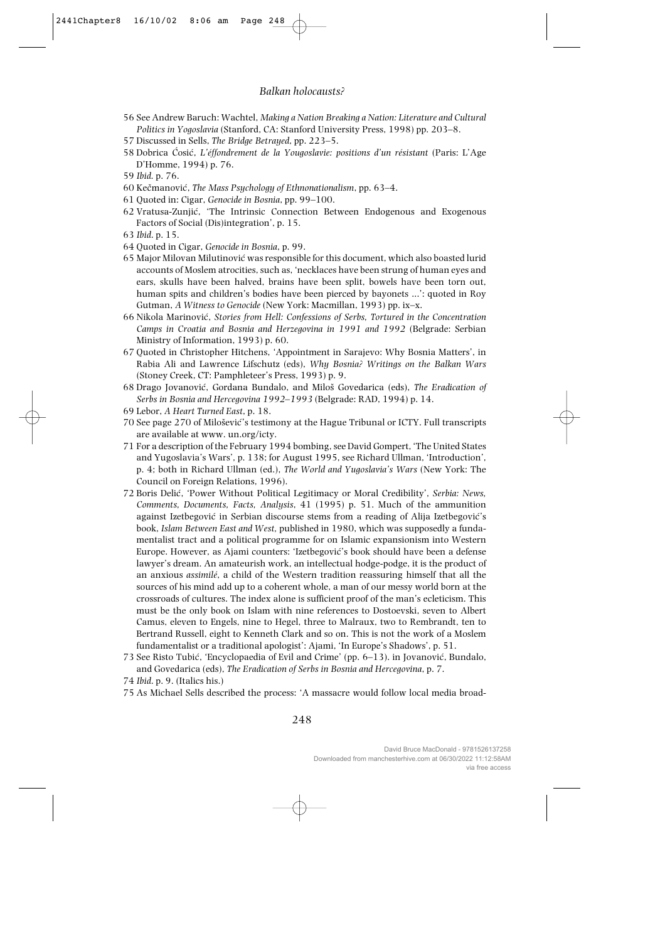- 56 See Andrew Baruch: Wachtel, *Making a Nation Breaking a Nation: Literature and Cultural Politics in Yogoslavia* (Stanford, CA: Stanford University Press, 1998) pp. 203–8.
- 57 Discussed in Sells, *The Bridge Betrayed*, pp. 223–5.
- 58 Dobrica C´osic´, *L'éffondrement de la Yougoslavie: positions d'un résistant* (Paris: L'Age D'Homme, 1994) p. 76.

- 60 Kecˇmanovic´, *The Mass Psychology of Ethnonationalism*, pp. 63–4.
- 61 Quoted in: Cigar, *Genocide in Bosnia*, pp. 99–100.
- 62 Vratusa-Zunjic´, 'The Intrinsic Connection Between Endogenous and Exogenous Factors of Social (Dis)integration', p. 15.
- 63 *Ibid*. p. 15.
- 64 Quoted in Cigar, *Genocide in Bosnia*, p. 99.
- 65 Major Milovan Milutinovic´ was responsible for this document, which also boasted lurid accounts of Moslem atrocities, such as, 'necklaces have been strung of human eyes and ears, skulls have been halved, brains have been split, bowels have been torn out, human spits and children's bodies have been pierced by bayonets ...': quoted in Roy Gutman, *A Witness to Genocide* (New York: Macmillan, 1993) pp. ix–x.
- 66 Nikola Marinovic´, *Stories from Hell: Confessions of Serbs, Tortured in the Concentration Camps in Croatia and Bosnia and Herzegovina in 1991 and 1992* (Belgrade: Serbian Ministry of Information, 1993) p. 60.
- 67 Quoted in Christopher Hitchens, 'Appointment in Sarajevo: Why Bosnia Matters', in Rabia Ali and Lawrence Lifschutz (eds), *Why Bosnia? Writings on the Balkan Wars* (Stoney Creek, CT: Pamphleteer's Press, 1993) p. 9.
- 68 Drago Jovanovic´, Gordana Bundalo, and Milosˇ Govedarica (eds), *The Eradication of Serbs in Bosnia and Hercegovina 1992–1993* (Belgrade: RAD, 1994) p. 14.
- 69 Lebor, *A Heart Turned East*, p. 18.
- 70 See page 270 of Milošević's testimony at the Hague Tribunal or ICTY. Full transcripts are available at www. un.org/icty.
- 71 For a description of the February 1994 bombing, see David Gompert, 'The United States and Yugoslavia's Wars', p. 138; for August 1995, see Richard Ullman, 'Introduction', p. 4; both in Richard Ullman (ed.), *The World and Yugoslavia's Wars* (New York: The Council on Foreign Relations, 1996).
- 72 Boris Delic´, 'Power Without Political Legitimacy or Moral Credibility', *Serbia: News, Comments, Documents, Facts, Analysis*, 41 (1995) p. 51. Much of the ammunition against Izetbegović in Serbian discourse stems from a reading of Alija Izetbegović's book, *Islam Between East and West,* published in 1980, which was supposedly a fundamentalist tract and a political programme for on Islamic expansionism into Western Europe. However, as Ajami counters: 'Izetbegovic´'s book should have been a defense lawyer's dream. An amateurish work, an intellectual hodge-podge, it is the product of an anxious *assimilé*, a child of the Western tradition reassuring himself that all the sources of his mind add up to a coherent whole, a man of our messy world born at the crossroads of cultures. The index alone is sufficient proof of the man's ecleticism. This must be the only book on Islam with nine references to Dostoevski, seven to Albert Camus, eleven to Engels, nine to Hegel, three to Malraux, two to Rembrandt, ten to Bertrand Russell, eight to Kenneth Clark and so on. This is not the work of a Moslem fundamentalist or a traditional apologist': Ajami, 'In Europe's Shadows', p. 51.
- 73 See Risto Tubic´, 'Encyclopaedia of Evil and Crime' (pp. 6–13). in Jovanovic´, Bundalo, and Govedarica (eds), *The Eradication of Serbs in Bosnia and Hercegovina*, p. 7.
- 74 *Ibid*. p. 9. (Italics his.)
- 75 As Michael Sells described the process: 'A massacre would follow local media broad-

<sup>59</sup> *Ibid*. p. 76.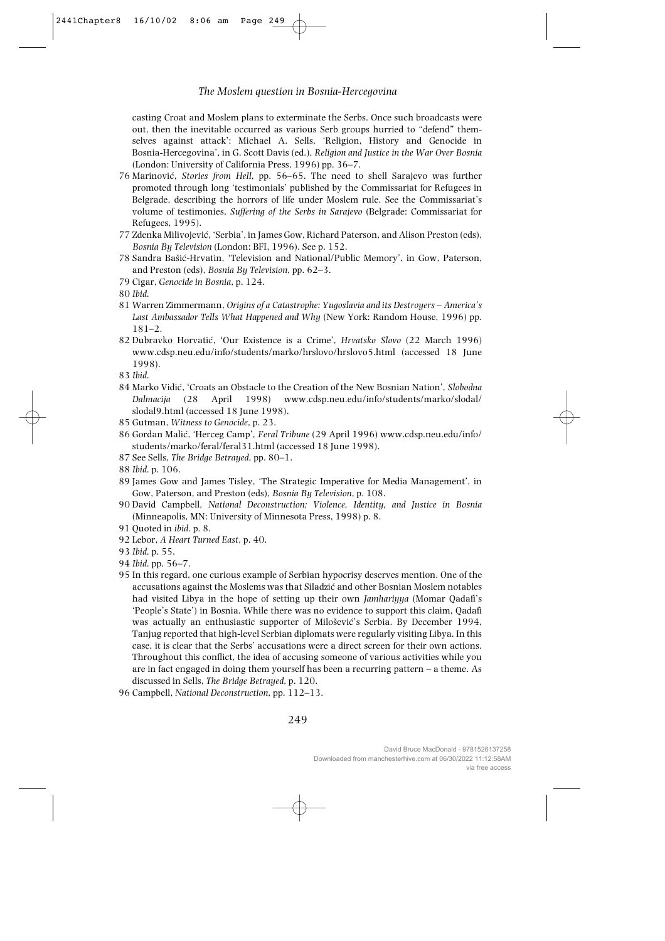casting Croat and Moslem plans to exterminate the Serbs. Once such broadcasts were out, then the inevitable occurred as various Serb groups hurried to "defend" themselves against attack': Michael A. Sells, 'Religion, History and Genocide in Bosnia-Hercegovina', in G. Scott Davis (ed.), *Religion and Justice in the War Over Bosnia* (London: University of California Press, 1996) pp. 36–7.

- 76 Marinovic´, *Stories from Hell*, pp. 56–65. The need to shell Sarajevo was further promoted through long 'testimonials' published by the Commissariat for Refugees in Belgrade, describing the horrors of life under Moslem rule. See the Commissariat's volume of testimonies, *Suffering of the Serbs in Sarajevo* (Belgrade: Commissariat for Refugees, 1995).
- 77 Zdenka Milivojevic´, 'Serbia', in James Gow, Richard Paterson, and Alison Preston (eds), *Bosnia By Television* (London: BFI, 1996). See p. 152.
- 78 Sandra Bašić-Hrvatin, 'Television and National/Public Memory', in Gow, Paterson, and Preston (eds), *Bosnia By Television*, pp. 62–3.
- 79 Cigar, *Genocide in Bosnia*, p. 124.
- 80 *Ibid*.
- 81 Warren Zimmermann, *Origins of a Catastrophe: Yugoslavia and its Destroyers America's Last Ambassador Tells What Happened and Why* (New York: Random House, 1996) pp. 181–2.
- 82 Dubravko Horvatic´, 'Our Existence is a Crime', *Hrvatsko Slovo* (22 March 1996) www.cdsp.neu.edu/info/students/marko/hrslovo/hrslovo5.html (accessed 18 June 1998).
- 83 *Ibid*.
- 84 Marko Vidic´, 'Croats an Obstacle to the Creation of the New Bosnian Nation', *Slobodna Dalmacija* (28 April 1998) www.cdsp.neu.edu/info/students/marko/slodal/ slodal9.html (accessed 18 June 1998).
- 85 Gutman, *Witness to Genocide*, p. 23.
- 86 Gordan Malic´, 'Herceg Camp', *Feral Tribune* (29 April 1996) www.cdsp.neu.edu/info/ students/marko/feral/feral31.html (accessed 18 June 1998).
- 87 See Sells, *The Bridge Betrayed*, pp. 80–1.
- 88 *Ibid*. p. 106.
- 89 James Gow and James Tisley, 'The Strategic Imperative for Media Management', in Gow, Paterson, and Preston (eds), *Bosnia By Television*, p. 108.
- 90 David Campbell, *National Deconstruction; Violence, Identity, and Justice in Bosnia* (Minneapolis, MN: University of Minnesota Press, 1998) p. 8.
- 91 Quoted in *ibid*. p. 8.
- 92 Lebor, *A Heart Turned East*, p. 40.
- 93 *Ibid*. p. 55.
- 94 *Ibid*. pp. 56–7.
- 95 In this regard, one curious example of Serbian hypocrisy deserves mention. One of the accusations against the Moslems was that Siladzic´ and other Bosnian Moslem notables had visited Libya in the hope of setting up their own *Jamhariyya* (Momar Qadafi's 'People's State') in Bosnia. While there was no evidence to support this claim, Qadafi was actually an enthusiastic supporter of Milošević's Serbia. By December 1994, Tanjug reported that high-level Serbian diplomats were regularly visiting Libya. In this case, it is clear that the Serbs' accusations were a direct screen for their own actions. Throughout this conflict, the idea of accusing someone of various activities while you are in fact engaged in doing them yourself has been a recurring pattern – a theme. As discussed in Sells, *The Bridge Betrayed*, p. 120.
- 96 Campbell, *National Deconstruction*, pp. 112–13.